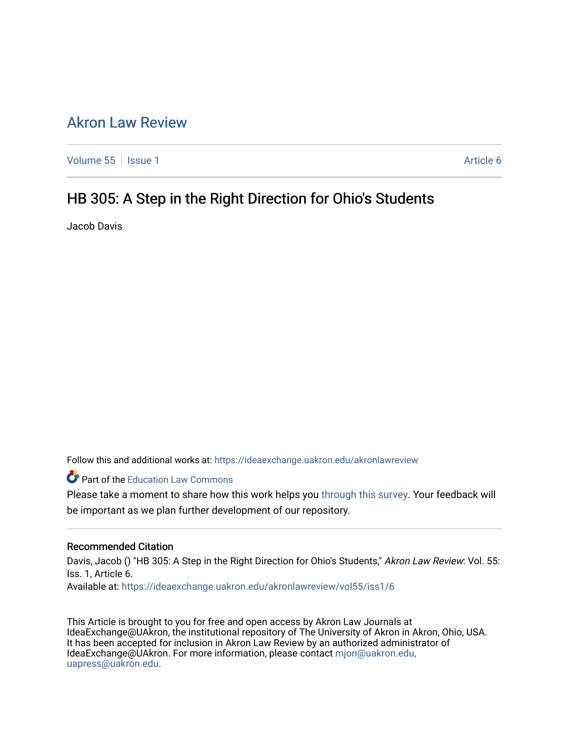# [Akron Law Review](https://ideaexchange.uakron.edu/akronlawreview)

[Volume 55](https://ideaexchange.uakron.edu/akronlawreview/vol55) | [Issue 1](https://ideaexchange.uakron.edu/akronlawreview/vol55/iss1) Article 6

# HB 305: A Step in the Right Direction for Ohio's Students

Jacob Davis

Follow this and additional works at: [https://ideaexchange.uakron.edu/akronlawreview](https://ideaexchange.uakron.edu/akronlawreview?utm_source=ideaexchange.uakron.edu%2Fakronlawreview%2Fvol55%2Fiss1%2F6&utm_medium=PDF&utm_campaign=PDFCoverPages)

Part of the [Education Law Commons](http://network.bepress.com/hgg/discipline/596?utm_source=ideaexchange.uakron.edu%2Fakronlawreview%2Fvol55%2Fiss1%2F6&utm_medium=PDF&utm_campaign=PDFCoverPages) 

Please take a moment to share how this work helps you [through this survey](http://survey.az1.qualtrics.com/SE/?SID=SV_eEVH54oiCbOw05f&URL=https://ideaexchange.uakron.edu/akronlawreview/vol55/iss1/6). Your feedback will be important as we plan further development of our repository.

# Recommended Citation

Davis, Jacob () "HB 305: A Step in the Right Direction for Ohio's Students," Akron Law Review: Vol. 55: Iss. 1, Article 6.

Available at: [https://ideaexchange.uakron.edu/akronlawreview/vol55/iss1/6](https://ideaexchange.uakron.edu/akronlawreview/vol55/iss1/6?utm_source=ideaexchange.uakron.edu%2Fakronlawreview%2Fvol55%2Fiss1%2F6&utm_medium=PDF&utm_campaign=PDFCoverPages) 

This Article is brought to you for free and open access by Akron Law Journals at IdeaExchange@UAkron, the institutional repository of The University of Akron in Akron, Ohio, USA. It has been accepted for inclusion in Akron Law Review by an authorized administrator of IdeaExchange@UAkron. For more information, please contact [mjon@uakron.edu,](mailto:mjon@uakron.edu,%20uapress@uakron.edu) [uapress@uakron.edu.](mailto:mjon@uakron.edu,%20uapress@uakron.edu)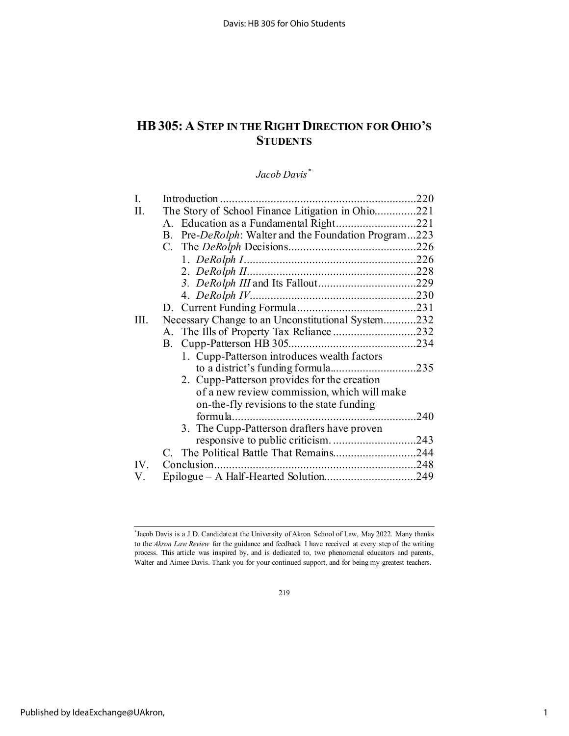# **HB305: A STEP IN THE RIGHT DIRECTION FOR OHIO'S STUDENTS**

# *Jacob Davis[\\*](#page-1-0)*

| В.                                          |                                                                                                                                                                                                            |
|---------------------------------------------|------------------------------------------------------------------------------------------------------------------------------------------------------------------------------------------------------------|
|                                             |                                                                                                                                                                                                            |
|                                             |                                                                                                                                                                                                            |
|                                             |                                                                                                                                                                                                            |
|                                             |                                                                                                                                                                                                            |
|                                             |                                                                                                                                                                                                            |
|                                             |                                                                                                                                                                                                            |
|                                             |                                                                                                                                                                                                            |
|                                             |                                                                                                                                                                                                            |
| В.                                          |                                                                                                                                                                                                            |
| 1. Cupp-Patterson introduces wealth factors |                                                                                                                                                                                                            |
|                                             |                                                                                                                                                                                                            |
|                                             |                                                                                                                                                                                                            |
| of a new review commission, which will make |                                                                                                                                                                                                            |
| on-the-fly revisions to the state funding   |                                                                                                                                                                                                            |
|                                             | .240                                                                                                                                                                                                       |
| 3. The Cupp-Patterson drafters have proven  |                                                                                                                                                                                                            |
|                                             |                                                                                                                                                                                                            |
|                                             |                                                                                                                                                                                                            |
|                                             |                                                                                                                                                                                                            |
|                                             |                                                                                                                                                                                                            |
|                                             | The Story of School Finance Litigation in Ohio221<br>Pre-DeRolph: Walter and the Foundation Program223<br>Necessary Change to an Unconstitutional System232<br>2. Cupp-Patterson provides for the creation |

219

<span id="page-1-0"></span><sup>\*</sup> Jacob Davis is a J.D. Candidate at the University of Akron School of Law, May 2022. Many thanks to the *Akron Law Review* for the guidance and feedback I have received at every step of the writing process. This article was inspired by, and is dedicated to, two phenomenal educators and parents, Walter and Aimee Davis. Thank you for your continued support, and for being my greatest teachers.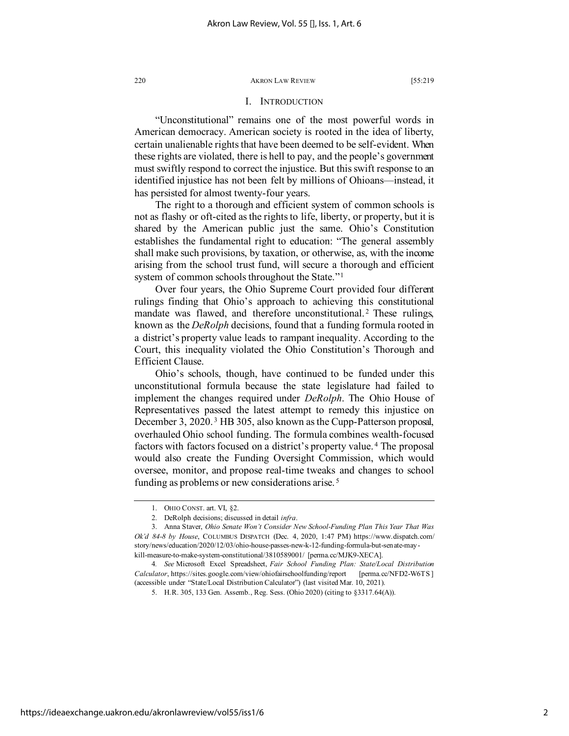## I. INTRODUCTION

"Unconstitutional" remains one of the most powerful words in American democracy. American society is rooted in the idea of liberty, certain unalienable rights that have been deemed to be self-evident. When these rights are violated, there is hell to pay, and the people's government must swiftly respond to correct the injustice. But this swift response to an identified injustice has not been felt by millions of Ohioans—instead, it has persisted for almost twenty-four years.

The right to a thorough and efficient system of common schools is not as flashy or oft-cited as the rights to life, liberty, or property, but it is shared by the American public just the same. Ohio's Constitution establishes the fundamental right to education: "The general assembly shall make such provisions, by taxation, or otherwise, as, with the income arising from the school trust fund, will secure a thorough and efficient system of common schools throughout the State."<sup>[1](#page-2-0)</sup>

Over four years, the Ohio Supreme Court provided four different rulings finding that Ohio's approach to achieving this constitutional mandate was flawed, and therefore unconstitutional.<sup>[2](#page-2-1)</sup> These rulings, known as the *DeRolph* decisions, found that a funding formula rooted in a district's property value leads to rampant inequality. According to the Court, this inequality violated the Ohio Constitution's Thorough and Efficient Clause.

Ohio's schools, though, have continued to be funded under this unconstitutional formula because the state legislature had failed to implement the changes required under *DeRolph*. The Ohio House of Representatives passed the latest attempt to remedy this injustice on December [3](#page-2-2), 2020.<sup>3</sup> HB 305, also known as the Cupp-Patterson proposal, overhauled Ohio school funding. The formula combines wealth-focused factors with factors focused on a district's property value. [4](#page-2-3) The proposal would also create the Funding Oversight Commission, which would oversee, monitor, and propose real-time tweaks and changes to school funding as problems or new considerations arise. [5](#page-2-4)

<sup>1.</sup> OHIO CONST. art. VI, §2.

<sup>2.</sup> DeRolph decisions; discussed in detail *infra*.

<span id="page-2-2"></span><span id="page-2-1"></span><span id="page-2-0"></span><sup>3.</sup> Anna Staver, *Ohio Senate Won't Consider New School-Funding Plan This Year That Was Ok'd 84-8 by House*, COLUMBUS DISPATCH (Dec. 4, 2020, 1:47 PM) https://www.dispatch.com/ story/news/education/2020/12/03/ohio-house-passes-new-k-12-funding-formula-but-senate-maykill-measure-to-make-system-constitutional/3810589001/ [perma.cc/MJK9-XECA].

<span id="page-2-4"></span><span id="page-2-3"></span><sup>4</sup>*. See* Microsoft Excel Spreadsheet, *Fair School Funding Plan: State/Local Distribution Calculator*, https://sites.google.com/view/ohiofairschoolfunding/report [perma.cc/NFD2-W6TS ] (accessible under "State/Local Distribution Calculator") (last visited Mar. 10, 2021).

<sup>5.</sup> H.R. 305, 133 Gen. Assemb., Reg. Sess. (Ohio 2020) (citing to §3317.64(A)).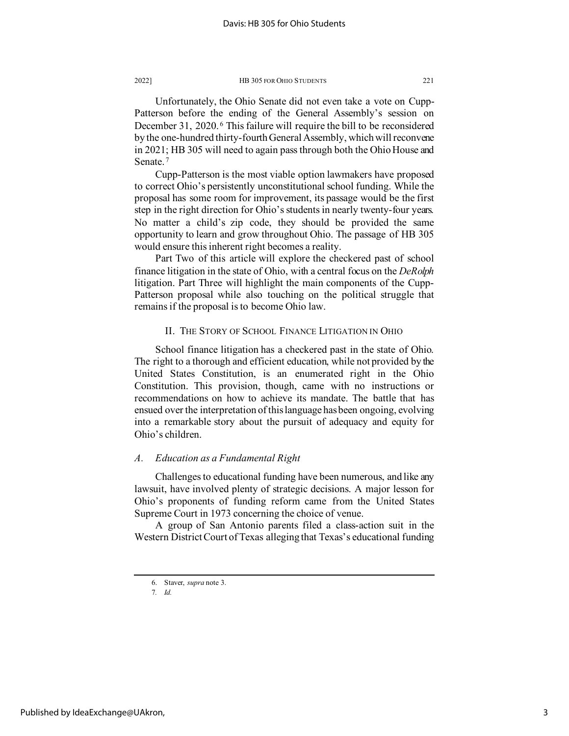Unfortunately, the Ohio Senate did not even take a vote on Cupp-Patterson before the ending of the General Assembly's session on December 31, 2020. [6](#page-3-0) This failure will require the bill to be reconsidered by the one-hundred thirty-fourth General Assembly, which will reconvene in 2021; HB 305 will need to again pass through both the Ohio House and Senate.<sup>[7](#page-3-1)</sup>

Cupp-Patterson is the most viable option lawmakers have proposed to correct Ohio's persistently unconstitutional school funding. While the proposal has some room for improvement, its passage would be the first step in the right direction for Ohio's students in nearly twenty-four years. No matter a child's zip code, they should be provided the same opportunity to learn and grow throughout Ohio. The passage of HB 305 would ensure this inherent right becomes a reality.

Part Two of this article will explore the checkered past of school finance litigation in the state of Ohio, with a central focus on the *DeRolph* litigation. Part Three will highlight the main components of the Cupp-Patterson proposal while also touching on the political struggle that remains if the proposal is to become Ohio law.

# II. THE STORY OF SCHOOL FINANCE LITIGATION IN OHIO

School finance litigation has a checkered past in the state of Ohio. The right to a thorough and efficient education, while not provided by the United States Constitution, is an enumerated right in the Ohio Constitution. This provision, though, came with no instructions or recommendations on how to achieve its mandate. The battle that has ensued over the interpretation of this language has been ongoing, evolving into a remarkable story about the pursuit of adequacy and equity for Ohio's children.

## *A. Education as a Fundamental Right*

Challenges to educational funding have been numerous, and like any lawsuit, have involved plenty of strategic decisions. A major lesson for Ohio's proponents of funding reform came from the United States Supreme Court in 1973 concerning the choice of venue.

<span id="page-3-0"></span>A group of San Antonio parents filed a class-action suit in the Western District Court of Texas alleging that Texas's educational funding

<span id="page-3-1"></span><sup>6.</sup> Staver, *supra* note 3.

<sup>7</sup>*. Id.*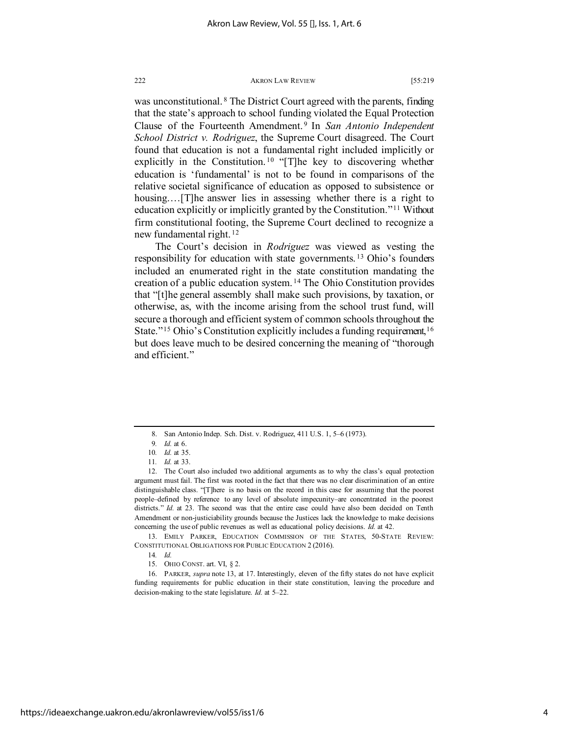was unconstitutional. <sup>[8](#page-4-0)</sup> The District Court agreed with the parents, finding that the state's approach to school funding violated the Equal Protection Clause of the Fourteenth Amendment. [9](#page-4-1) In *San Antonio Independent School District v. Rodriguez*, the Supreme Court disagreed. The Court found that education is not a fundamental right included implicitly or explicitly in the Constitution.<sup>[10](#page-4-2)</sup> "[T]he key to discovering whether education is 'fundamental' is not to be found in comparisons of the relative societal significance of education as opposed to subsistence or housing.…[T]he answer lies in assessing whether there is a right to education explicitly or implicitly granted by the Constitution."[11](#page-4-3) Without firm constitutional footing, the Supreme Court declined to recognize a new fundamental right. [12](#page-4-4)

The Court's decision in *Rodriguez* was viewed as vesting the responsibility for education with state governments. [13](#page-4-5) Ohio's founders included an enumerated right in the state constitution mandating the creation of a public education system. [14](#page-4-6) The Ohio Constitution provides that "[t]he general assembly shall make such provisions, by taxation, or otherwise, as, with the income arising from the school trust fund, will secure a thorough and efficient system of common schools throughout the State."<sup>[15](#page-4-7)</sup> Ohio's Constitution explicitly includes a funding requirement,<sup>[16](#page-4-8)</sup> but does leave much to be desired concerning the meaning of "thorough and efficient."

<sup>8.</sup> San Antonio Indep. Sch. Dist. v. Rodriguez, 411 U.S. 1, 5–6 (1973).

<sup>9</sup>*. Id.* at 6.

<sup>10</sup>*. Id.* at 35.

<sup>11</sup>*. Id.* at 33.

<span id="page-4-4"></span><span id="page-4-3"></span><span id="page-4-2"></span><span id="page-4-1"></span><span id="page-4-0"></span><sup>12.</sup> The Court also included two additional arguments as to why the class's equal protection argument must fail. The first was rooted in the fact that there was no clear discrimination of an entire distinguishable class. "[T]here is no basis on the record in this case for assuming that the poorest people–defined by reference to any level of absolute impecunity–are concentrated in the poorest districts." *Id.* at 23. The second was that the entire case could have also been decided on Tenth Amendment or non-justiciability grounds because the Justices lack the knowledge to make decisions concerning the use of public revenues as well as educational policy decisions. *Id.* at 42.

<span id="page-4-6"></span><span id="page-4-5"></span><sup>13.</sup> EMILY PARKER, EDUCATION COMMISSION OF THE STATES, 50-STATE REVIEW: CONSTITUTIONAL OBLIGATIONS FOR PUBLIC EDUCATION 2 (2016).

<sup>14</sup>*. Id.*

<sup>15.</sup> OHIO CONST. art. VI, § 2.

<span id="page-4-8"></span><span id="page-4-7"></span><sup>16.</sup> PARKER, *supra* note 13, at 17. Interestingly, eleven of the fifty states do not have explicit funding requirements for public education in their state constitution, leaving the procedure and decision-making to the state legislature. *Id.* at 5–22.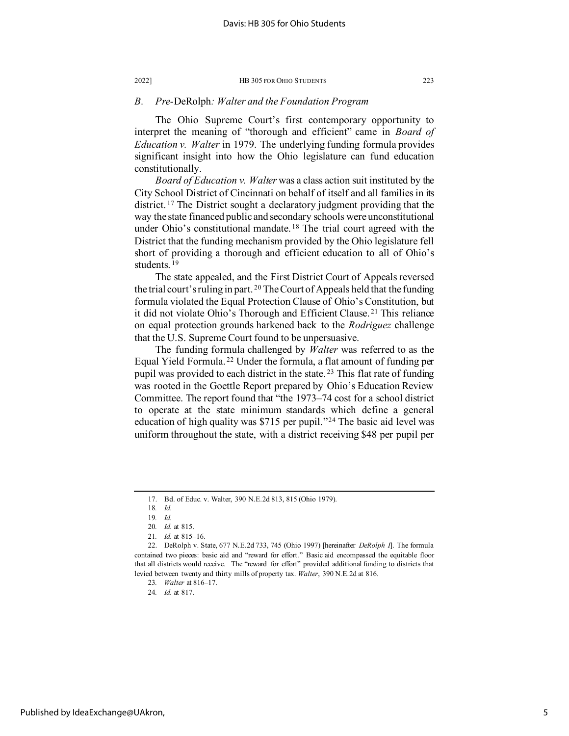# *B. Pre-*DeRolph*: Walter and the Foundation Program*

The Ohio Supreme Court's first contemporary opportunity to interpret the meaning of "thorough and efficient" came in *Board of Education v. Walter* in 1979. The underlying funding formula provides significant insight into how the Ohio legislature can fund education constitutionally.

*Board of Education v. Walter* was a class action suit instituted by the City School District of Cincinnati on behalf of itself and all families in its district. [17](#page-5-0) The District sought a declaratory judgment providing that the way the state financed public and secondary schools were unconstitutional under Ohio's constitutional mandate.<sup>[18](#page-5-1)</sup> The trial court agreed with the District that the funding mechanism provided by the Ohio legislature fell short of providing a thorough and efficient education to all of Ohio's students. [19](#page-5-2)

The state appealed, and the First District Court of Appeals reversed the trial court's ruling in part.<sup>[20](#page-5-3)</sup> The Court of Appeals held that the funding formula violated the Equal Protection Clause of Ohio's Constitution, but it did not violate Ohio's Thorough and Efficient Clause. [21](#page-5-4) This reliance on equal protection grounds harkened back to the *Rodriguez* challenge that the U.S. Supreme Court found to be unpersuasive.

The funding formula challenged by *Walter* was referred to as the Equal Yield Formula. [22](#page-5-5) Under the formula, a flat amount of funding per pupil was provided to each district in the state. [23](#page-5-6) This flat rate of funding was rooted in the Goettle Report prepared by Ohio's Education Review Committee. The report found that "the 1973–74 cost for a school district to operate at the state minimum standards which define a general education of high quality was \$715 per pupil."[24](#page-5-7) The basic aid level was uniform throughout the state, with a district receiving \$48 per pupil per

<sup>17.</sup> Bd. of Educ. v. Walter, 390 N.E.2d 813, 815 (Ohio 1979).

<sup>18</sup>*. Id.*

<sup>19</sup>*. Id.*

<sup>20</sup>*. Id.* at 815.

<sup>21</sup>*. Id.* at 815–16.

<span id="page-5-7"></span><span id="page-5-6"></span><span id="page-5-5"></span><span id="page-5-4"></span><span id="page-5-3"></span><span id="page-5-2"></span><span id="page-5-1"></span><span id="page-5-0"></span><sup>22.</sup> DeRolph v. State, 677 N.E.2d 733, 745 (Ohio 1997) [hereinafter *DeRolph I*]. The formula contained two pieces: basic aid and "reward for effort." Basic aid encompassed the equitable floor that all districts would receive. The "reward for effort" provided additional funding to districts that levied between twenty and thirty mills of property tax. *Walter*, 390 N.E.2d at 816.

<sup>23</sup>*. Walter* at 816–17. 24*. Id.* at 817.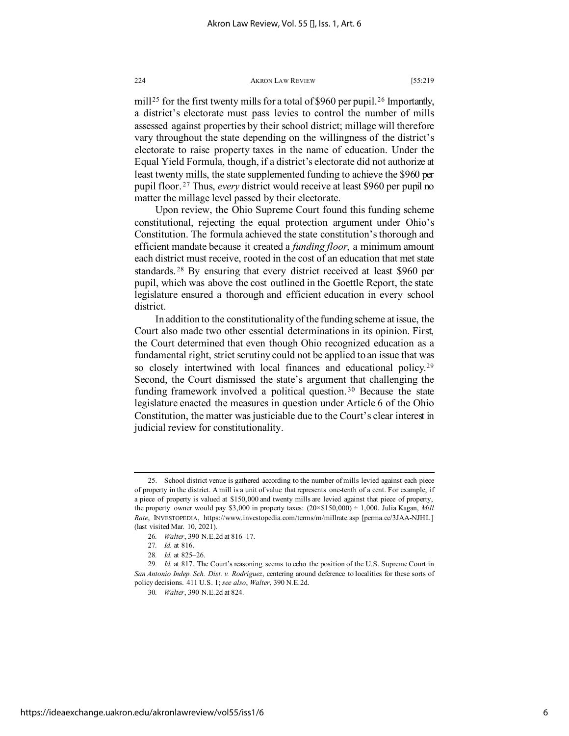mill<sup>[25](#page-6-0)</sup> for the first twenty mills for a total of \$960 per pupil.<sup>[26](#page-6-1)</sup> Importantly, a district's electorate must pass levies to control the number of mills assessed against properties by their school district; millage will therefore vary throughout the state depending on the willingness of the district's electorate to raise property taxes in the name of education. Under the Equal Yield Formula, though, if a district's electorate did not authorize at least twenty mills, the state supplemented funding to achieve the \$960 per pupil floor. [27](#page-6-2) Thus, *every* district would receive at least \$960 per pupil no matter the millage level passed by their electorate.

Upon review, the Ohio Supreme Court found this funding scheme constitutional, rejecting the equal protection argument under Ohio's Constitution. The formula achieved the state constitution's thorough and efficient mandate because it created a *funding floor*, a minimum amount each district must receive, rooted in the cost of an education that met state standards. [28](#page-6-3) By ensuring that every district received at least \$960 per pupil, which was above the cost outlined in the Goettle Report, the state legislature ensured a thorough and efficient education in every school district.

In addition to the constitutionality of the funding scheme at issue, the Court also made two other essential determinations in its opinion. First, the Court determined that even though Ohio recognized education as a fundamental right, strict scrutiny could not be applied to an issue that was so closely intertwined with local finances and educational policy.<sup>[29](#page-6-4)</sup> Second, the Court dismissed the state's argument that challenging the funding framework involved a political question.<sup>[30](#page-6-5)</sup> Because the state legislature enacted the measures in question under Article 6 of the Ohio Constitution, the matter was justiciable due to the Court's clear interest in judicial review for constitutionality.

<span id="page-6-0"></span><sup>25.</sup> School district venue is gathered according to the number of mills levied against each piece of property in the district. A mill is a unit of value that represents one-tenth of a cent. For example, if a piece of property is valued at \$150,000 and twenty mills are levied against that piece of property, the property owner would pay \$3,000 in property taxes: (20×\$150,000) ÷ 1,000. Julia Kagan, *Mill Rate*, INVESTOPEDIA, https://www.investopedia.com/terms/m/millrate.asp [perma.cc/3JAA-NJHL] (last visited Mar. 10, 2021).

<sup>26</sup>*. Walter*, 390 N.E.2d at 816–17.

<sup>27</sup>*. Id.* at 816.

<sup>28</sup>*. Id.* at 825–26.

<span id="page-6-5"></span><span id="page-6-4"></span><span id="page-6-3"></span><span id="page-6-2"></span><span id="page-6-1"></span><sup>29</sup>*. Id.* at 817. The Court's reasoning seems to echo the position of the U.S. Supreme Court in *San Antonio Indep. Sch. Dist. v. Rodriguez*, centering around deference to localities for these sorts of policy decisions. 411 U.S. 1; *see also*, *Walter*, 390 N.E.2d.

<sup>30</sup>*. Walter*, 390 N.E.2d at 824.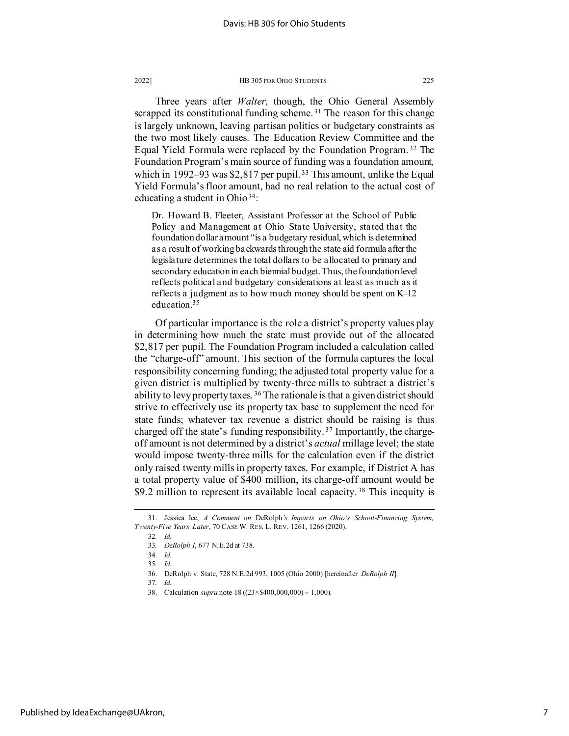Three years after *Walter*, though, the Ohio General Assembly scrapped its constitutional funding scheme.<sup>[31](#page-7-0)</sup> The reason for this change is largely unknown, leaving partisan politics or budgetary constraints as the two most likely causes. The Education Review Committee and the Equal Yield Formula were replaced by the Foundation Program. [32](#page-7-1) The Foundation Program's main source of funding was a foundation amount, which in 1992–93 was  $$2,817$  per pupil.<sup>[33](#page-7-2)</sup> This amount, unlike the Equal Yield Formula's floor amount, had no real relation to the actual cost of educating a student in Ohio<sup>[34](#page-7-3)</sup>:

Dr. Howard B. Fleeter, Assistant Professor at the School of Public Policy and Management at Ohio State University, stated that the foundation dollar amount "is a budgetary residual, which is determined as a result of working backwards through the state aid formula after the legislature determines the total dollars to be allocated to primary and secondary education in each biennial budget. Thus, the foundation level reflects political and budgetary considerations at least as much as it reflects a judgment as to how much money should be spent on K–12 education[.35](#page-7-4)

Of particular importance is the role a district's property values play in determining how much the state must provide out of the allocated \$2,817 per pupil. The Foundation Program included a calculation called the "charge-off" amount. This section of the formula captures the local responsibility concerning funding; the adjusted total property value for a given district is multiplied by twenty-three mills to subtract a district's ability to levy property taxes. [36](#page-7-5) The rationale is that a given district should strive to effectively use its property tax base to supplement the need for state funds; whatever tax revenue a district should be raising is thus charged off the state's funding responsibility.<sup>[37](#page-7-6)</sup> Importantly, the chargeoff amount is not determined by a district's *actual* millage level; the state would impose twenty-three mills for the calculation even if the district only raised twenty mills in property taxes. For example, if District A has a total property value of \$400 million, its charge-off amount would be \$9.2 million to represent its available local capacity.<sup>[38](#page-7-7)</sup> This inequity is

<span id="page-7-6"></span>37*. Id.*

<span id="page-7-5"></span><span id="page-7-4"></span><span id="page-7-3"></span><span id="page-7-2"></span><span id="page-7-1"></span><span id="page-7-0"></span><sup>31.</sup> Jessica Ice, *A Comment on* DeRolph*'s Impacts on Ohio's School-Financing System, Twenty-Five Years Later*, 70 CASE W. RES. L. REV. 1261, 1266 (2020).

<sup>32</sup>*. Id.*

<sup>33</sup>*. DeRolph I*, 677 N.E.2d at 738.

<sup>34</sup>*. Id.*

<sup>35</sup>*. Id.*

<sup>36.</sup> DeRolph v. State, 728 N.E.2d 993, 1005 (Ohio 2000) [hereinafter *DeRolph II*].

<span id="page-7-7"></span><sup>38.</sup> Calculation *supra* note 18 ((23×\$400,000,000) ÷ 1,000).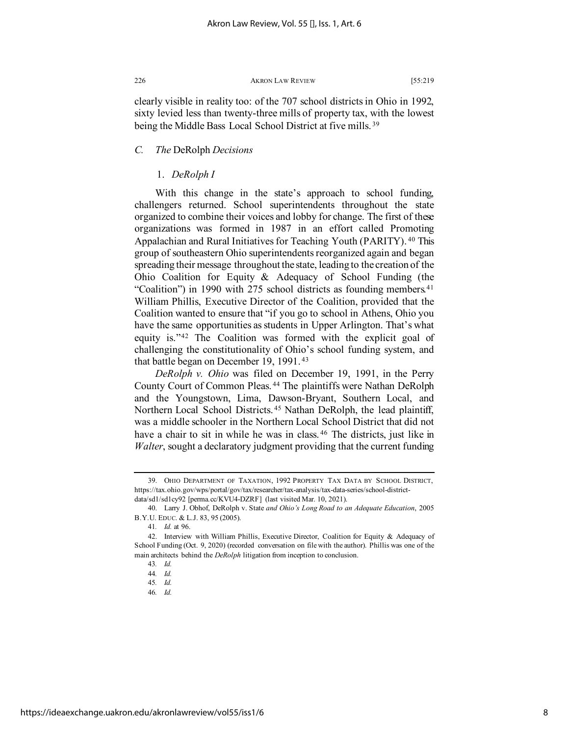clearly visible in reality too: of the 707 school districts in Ohio in 1992, sixty levied less than twenty-three mills of property tax, with the lowest being the Middle Bass Local School District at five mills.<sup>[39](#page-8-0)</sup>

# *C. The* DeRolph *Decisions*

# 1. *DeRolph I*

With this change in the state's approach to school funding, challengers returned. School superintendents throughout the state organized to combine their voices and lobby for change. The first of these organizations was formed in 1987 in an effort called Promoting Appalachian and Rural Initiatives for Teaching Youth (PARITY). [40](#page-8-1) This group of southeastern Ohio superintendents reorganized again and began spreading their message throughout the state, leading to the creation of the Ohio Coalition for Equity & Adequacy of School Funding (the "Coalition") in 1990 with 275 school districts as founding members.<sup>[41](#page-8-2)</sup> William Phillis, Executive Director of the Coalition, provided that the Coalition wanted to ensure that "if you go to school in Athens, Ohio you have the same opportunities as students in Upper Arlington. That's what equity is."[42](#page-8-3) The Coalition was formed with the explicit goal of challenging the constitutionality of Ohio's school funding system, and that battle began on December 19, 1991. [43](#page-8-4)

*DeRolph v. Ohio* was filed on December 19, 1991, in the Perry County Court of Common Pleas. [44](#page-8-5) The plaintiffs were Nathan DeRolph and the Youngstown, Lima, Dawson-Bryant, Southern Local, and Northern Local School Districts. [45](#page-8-6) Nathan DeRolph, the lead plaintiff, was a middle schooler in the Northern Local School District that did not have a chair to sit in while he was in class.<sup>[46](#page-8-7)</sup> The districts, just like in *Walter*, sought a declaratory judgment providing that the current funding

<span id="page-8-0"></span><sup>39.</sup> OHIO DEPARTMENT OF TAXATION, 1992 PROPERTY TAX DATA BY SCHOOL DISTRICT, https://tax.ohio.gov/wps/portal/gov/tax/researcher/tax-analysis/tax-data-series/school-districtdata/sd1/sd1cy92 [perma.cc/KVU4-DZRF] (last visited Mar. 10, 2021).

<span id="page-8-1"></span><sup>40.</sup> Larry J. Obhof, DeRolph v. State *and Ohio's Long Road to an Adequate Education*, 2005 B.Y.U. EDUC. & L.J. 83, 95 (2005).

<sup>41</sup>*. Id.* at 96.

<span id="page-8-7"></span><span id="page-8-6"></span><span id="page-8-5"></span><span id="page-8-4"></span><span id="page-8-3"></span><span id="page-8-2"></span><sup>42.</sup> Interview with William Phillis, Executive Director, Coalition for Equity & Adequacy of School Funding (Oct. 9, 2020) (recorded conversation on file with the author). Phillis was one of the main architects behind the *DeRolph* litigation from inception to conclusion.

<sup>43</sup>*. Id.*

<sup>44</sup>*. Id.* 45*. Id.*

<sup>46</sup>*. Id.*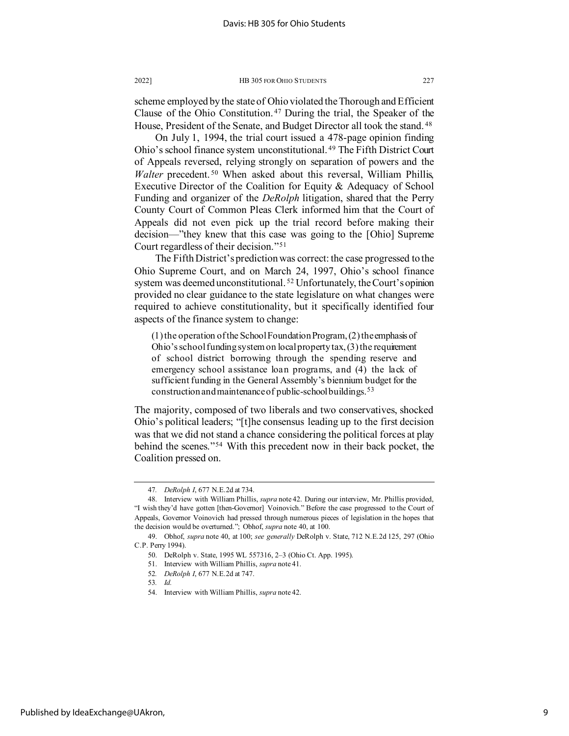scheme employed by the state of Ohio violated the Thorough and Efficient Clause of the Ohio Constitution. [47](#page-9-0) During the trial, the Speaker of the House, President of the Senate, and Budget Director all took the stand.<sup>[48](#page-9-1)</sup>

On July 1, 1994, the trial court issued a 478-page opinion finding Ohio's school finance system unconstitutional. [49](#page-9-2) The Fifth District Court of Appeals reversed, relying strongly on separation of powers and the *Walter* precedent. [50](#page-9-3) When asked about this reversal, William Phillis, Executive Director of the Coalition for Equity & Adequacy of School Funding and organizer of the *DeRolph* litigation, shared that the Perry County Court of Common Pleas Clerk informed him that the Court of Appeals did not even pick up the trial record before making their decision—"they knew that this case was going to the [Ohio] Supreme Court regardless of their decision."[51](#page-9-4)

The Fifth District's prediction was correct: the case progressed to the Ohio Supreme Court, and on March 24, 1997, Ohio's school finance system was deemed unconstitutional.<sup>[52](#page-9-5)</sup> Unfortunately, the Court's opinion provided no clear guidance to the state legislature on what changes were required to achieve constitutionality, but it specifically identified four aspects of the finance system to change:

(1) the operation of the School Foundation Program, (2) the emphasis of Ohio's school funding system on local property tax,  $(3)$  the requirement of school district borrowing through the spending reserve and emergency school assistance loan programs, and (4) the lack of sufficient funding in the General Assembly's biennium budget for the construction and maintenance of public-school buildings.[53](#page-9-6)

The majority, composed of two liberals and two conservatives, shocked Ohio's political leaders; "[t]he consensus leading up to the first decision was that we did not stand a chance considering the political forces at play behind the scenes."[54](#page-9-7) With this precedent now in their back pocket, the Coalition pressed on.

53*. Id.*

<sup>47</sup>*. DeRolph I*, 677 N.E.2d at 734.

<span id="page-9-1"></span><span id="page-9-0"></span><sup>48.</sup> Interview with William Phillis, *supra* note 42. During our interview, Mr. Phillis provided, "I wish they'd have gotten [then-Governor] Voinovich." Before the case progressed to the Court of Appeals, Governor Voinovich had pressed through numerous pieces of legislation in the hopes that the decision would be overturned."; Obhof, *supra* note 40, at 100.

<span id="page-9-7"></span><span id="page-9-6"></span><span id="page-9-5"></span><span id="page-9-4"></span><span id="page-9-3"></span><span id="page-9-2"></span><sup>49.</sup> Obhof, *supra* note 40, at 100; *see generally* DeRolph v. State, 712 N.E.2d 125, 297 (Ohio C.P. Perry 1994).

<sup>50.</sup> DeRolph v. State, 1995 WL 557316, 2–3 (Ohio Ct. App. 1995).

<sup>51.</sup> Interview with William Phillis, *supra* note 41.

<sup>52</sup>*. DeRolph I*, 677 N.E.2d at 747.

<sup>54.</sup> Interview with William Phillis, *supra* note 42.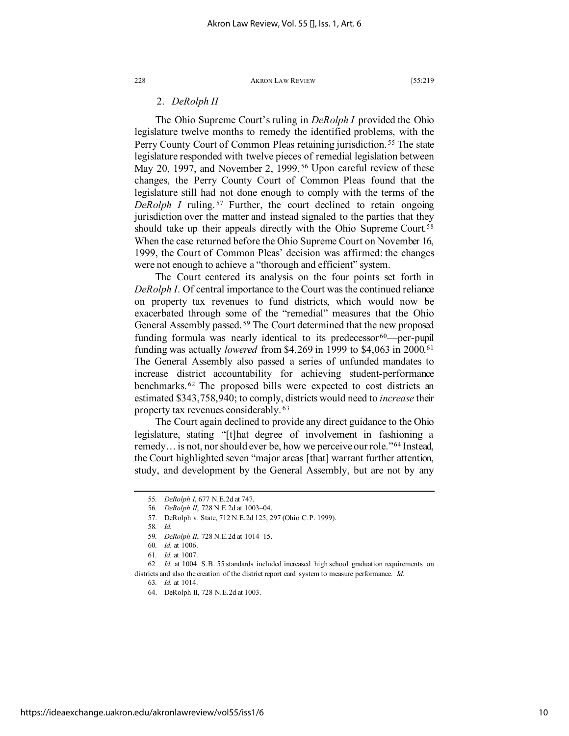# 2. *DeRolph II*

The Ohio Supreme Court's ruling in *DeRolph I* provided the Ohio legislature twelve months to remedy the identified problems, with the Perry County Court of Common Pleas retaining jurisdiction. [55](#page-10-0) The state legislature responded with twelve pieces of remedial legislation between May 20, 1997, and November 2, 1999.<sup>[56](#page-10-1)</sup> Upon careful review of these changes, the Perry County Court of Common Pleas found that the legislature still had not done enough to comply with the terms of the *DeRolph I* ruling.<sup>[57](#page-10-2)</sup> Further, the court declined to retain ongoing jurisdiction over the matter and instead signaled to the parties that they should take up their appeals directly with the Ohio Supreme Court.<sup>[58](#page-10-3)</sup> When the case returned before the Ohio Supreme Court on November 16, 1999, the Court of Common Pleas' decision was affirmed: the changes were not enough to achieve a "thorough and efficient" system.

The Court centered its analysis on the four points set forth in *DeRolph I*. Of central importance to the Court was the continued reliance on property tax revenues to fund districts, which would now be exacerbated through some of the "remedial" measures that the Ohio General Assembly passed. [59](#page-10-4) The Court determined that the new proposed funding formula was nearly identical to its predecessor $60$ —per-pupil funding was actually *lowered* from \$4,269 in 1999 to \$4,063 in 2000.[61](#page-10-6) The General Assembly also passed a series of unfunded mandates to increase district accountability for achieving student-performance benchmarks. [62](#page-10-7) The proposed bills were expected to cost districts an estimated \$343,758,940; to comply, districts would need to *increase* their property tax revenues considerably. [63](#page-10-8)

The Court again declined to provide any direct guidance to the Ohio legislature, stating "[t]hat degree of involvement in fashioning a remedy… is not, nor should ever be, how we perceive our role."[64](#page-10-9) Instead, the Court highlighted seven "major areas [that] warrant further attention, study, and development by the General Assembly, but are not by any

<span id="page-10-0"></span><sup>55</sup>*. DeRolph I*, 677 N.E.2d at 747.

<sup>56</sup>*. DeRolph II*, 728 N.E.2d at 1003–04.

<sup>57.</sup> DeRolph v. State, 712 N.E.2d 125, 297 (Ohio C.P. 1999).

<sup>58</sup>*. Id.*

<sup>59</sup>*. DeRolph II*, 728 N.E.2d at 1014–15.

<sup>60</sup>*. Id.* at 1006.

<sup>61</sup>*. Id.* at 1007.

<span id="page-10-9"></span><span id="page-10-8"></span><span id="page-10-7"></span><span id="page-10-6"></span><span id="page-10-5"></span><span id="page-10-4"></span><span id="page-10-3"></span><span id="page-10-2"></span><span id="page-10-1"></span><sup>62</sup>*. Id.* at 1004. S.B. 55 standards included increased high school graduation requirements on districts and also the creation of the district report card system to measure performance. *Id.*

<sup>63</sup>*. Id.* at 1014.

<sup>64.</sup> DeRolph II, 728 N.E.2d at 1003.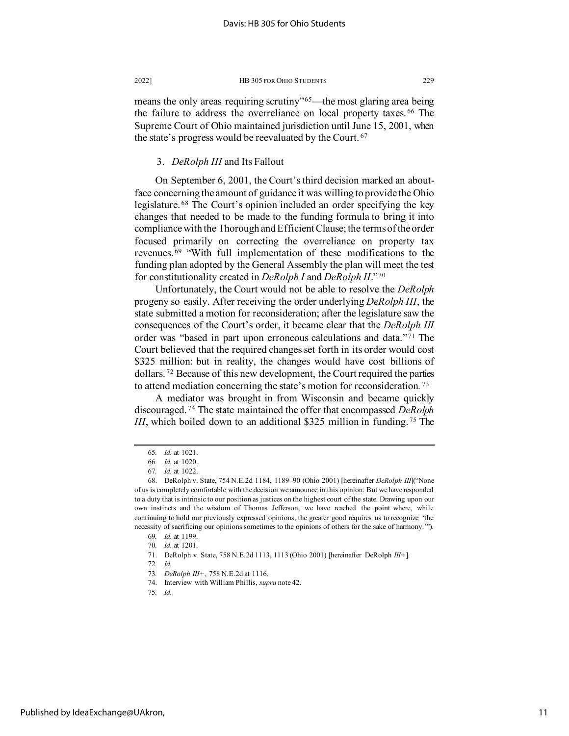means the only areas requiring scrutiny"<sup>[65](#page-11-0)</sup>—the most glaring area being the failure to address the overreliance on local property taxes. [66](#page-11-1) The Supreme Court of Ohio maintained jurisdiction until June 15, 2001, when the state's progress would be reevaluated by the Court. [67](#page-11-2)

### 3. *DeRolph III* and Its Fallout

On September 6, 2001, the Court's third decision marked an aboutface concerning the amount of guidance it was willing to provide the Ohio legislature. [68](#page-11-3) The Court's opinion included an order specifying the key changes that needed to be made to the funding formula to bring it into compliance with the Thorough and Efficient Clause; the terms of the order focused primarily on correcting the overreliance on property tax revenues. [69](#page-11-4) "With full implementation of these modifications to the funding plan adopted by the General Assembly the plan will meet the test for constitutionality created in *DeRolph I* and *DeRolph II*."[70](#page-11-5)

Unfortunately, the Court would not be able to resolve the *DeRolph* progeny so easily. After receiving the order underlying *DeRolph III*, the state submitted a motion for reconsideration; after the legislature saw the consequences of the Court's order, it became clear that the *DeRolph III* order was "based in part upon erroneous calculations and data."[71](#page-11-6) The Court believed that the required changes set forth in its order would cost \$325 million: but in reality, the changes would have cost billions of dollars. [72](#page-11-7) Because of this new development, the Court required the parties to attend mediation concerning the state's motion for reconsideration*.* [73](#page-11-8)

A mediator was brought in from Wisconsin and became quickly discouraged. [74](#page-11-9) The state maintained the offer that encompassed *DeRolph III*, which boiled down to an additional \$325 million in funding. [75](#page-11-10) The

<sup>65</sup>*. Id.* at 1021.

<sup>66</sup>*. Id.* at 1020.

<sup>67</sup>*. Id.* at 1022.

<span id="page-11-4"></span><span id="page-11-3"></span><span id="page-11-2"></span><span id="page-11-1"></span><span id="page-11-0"></span><sup>68.</sup> DeRolph v. State, 754 N.E.2d 1184, 1189–90 (Ohio 2001) [hereinafter *DeRolph III*]("None of us is completely comfortable with the decision we announce in this opinion. But we have responded to a duty that is intrinsic to our position as justices on the highest court of the state. Drawing upon our own instincts and the wisdom of Thomas Jefferson, we have reached the point where, while continuing to hold our previously expressed opinions, the greater good requires us to recognize 'the necessity of sacrificing our opinions sometimes to the opinions of others for the sake of harmony.'").

<sup>69</sup>*. Id.* at 1199.

<sup>70</sup>*. Id.* at 1201.

<span id="page-11-8"></span><span id="page-11-7"></span><span id="page-11-6"></span><span id="page-11-5"></span><sup>71.</sup> DeRolph v. State, 758 N.E.2d 1113, 1113 (Ohio 2001) [hereinafter DeRolph *III+*].

<sup>72</sup>*. Id.*

<span id="page-11-9"></span><sup>73</sup>*. DeRolph III+*, 758 N.E.2d at 1116.

<sup>74.</sup> Interview with William Phillis, *supra* note 42.

<span id="page-11-10"></span><sup>75</sup>*. Id.*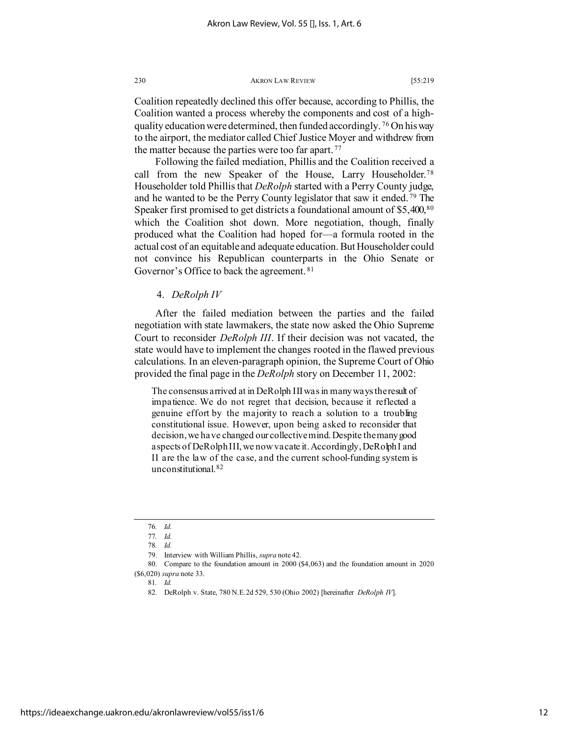Coalition repeatedly declined this offer because, according to Phillis, the Coalition wanted a process whereby the components and cost of a highquality education were determined, then funded accordingly. [76](#page-12-0) On his way to the airport, the mediator called Chief Justice Moyer and withdrew from the matter because the parties were too far apart.<sup>[77](#page-12-1)</sup>

Following the failed mediation, Phillis and the Coalition received a call from the new Speaker of the House, Larry Householder.[78](#page-12-2) Householder told Phillis that *DeRolph* started with a Perry County judge, and he wanted to be the Perry County legislator that saw it ended. [79](#page-12-3) The Speaker first promised to get districts a foundational amount of \$5,400,[80](#page-12-4) which the Coalition shot down. More negotiation, though, finally produced what the Coalition had hoped for—a formula rooted in the actual cost of an equitable and adequate education. But Householder could not convince his Republican counterparts in the Ohio Senate or Governor's Office to back the agreement. [81](#page-12-5)

# 4. *DeRolph IV*

After the failed mediation between the parties and the failed negotiation with state lawmakers, the state now asked the Ohio Supreme Court to reconsider *DeRolph III*. If their decision was not vacated, the state would have to implement the changes rooted in the flawed previous calculations. In an eleven-paragraph opinion, the Supreme Court of Ohio provided the final page in the *DeRolph* story on December 11, 2002:

The consensus arrived at in DeRolph III was in many ways the result of impatience. We do not regret that decision, because it reflected a genuine effort by the majority to reach a solution to a troubling constitutional issue. However, upon being asked to reconsider that decision, we have changed our collective mind. Despite the many good aspects of DeRolph III, we now vacate it. Accordingly, DeRolph I and II are the law of the case, and the current school-funding system is unconstitutional.[82](#page-12-6)

<sup>76</sup>*. Id.*

<sup>77</sup>*. Id.*

<sup>78</sup>*. Id.*

<sup>79.</sup> Interview with William Phillis, *supra* note 42.

<span id="page-12-6"></span><span id="page-12-5"></span><span id="page-12-4"></span><span id="page-12-3"></span><span id="page-12-2"></span><span id="page-12-1"></span><span id="page-12-0"></span><sup>80.</sup> Compare to the foundation amount in 2000 (\$4,063) and the foundation amount in 2020 (\$6,020) *supra* note 33.

<sup>81</sup>*. Id.*

<sup>82.</sup> DeRolph v. State, 780 N.E.2d 529, 530 (Ohio 2002) [hereinafter *DeRolph IV*].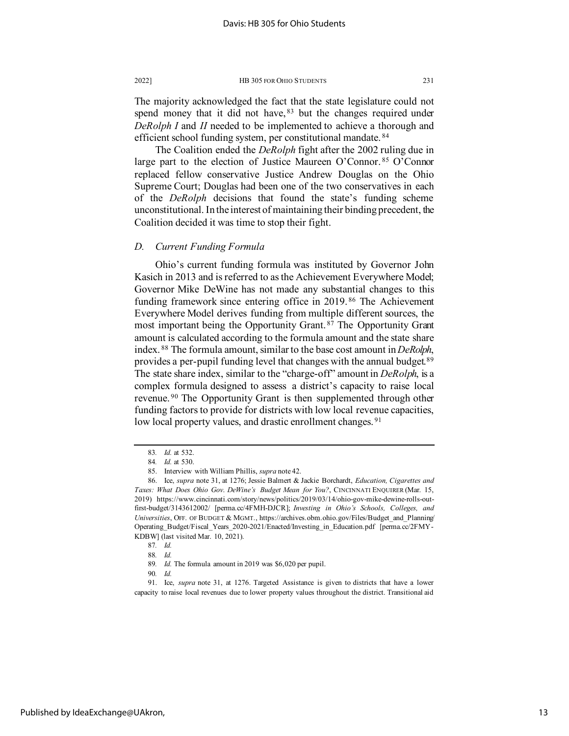The Coalition ended the *DeRolph* fight after the 2002 ruling due in large part to the election of Justice Maureen O'Connor. [85](#page-13-2) O'Connor replaced fellow conservative Justice Andrew Douglas on the Ohio Supreme Court; Douglas had been one of the two conservatives in each of the *DeRolph* decisions that found the state's funding scheme unconstitutional. In the interest of maintaining their binding precedent, the Coalition decided it was time to stop their fight.

# *D. Current Funding Formula*

Ohio's current funding formula was instituted by Governor John Kasich in 2013 and is referred to as the Achievement Everywhere Model; Governor Mike DeWine has not made any substantial changes to this funding framework since entering office in 2019. [86](#page-13-3) The Achievement Everywhere Model derives funding from multiple different sources, the most important being the Opportunity Grant. [87](#page-13-4) The Opportunity Grant amount is calculated according to the formula amount and the state share index. [88](#page-13-5) The formula amount, similar to the base cost amount in *DeRolph*, provides a per-pupil funding level that changes with the annual budget.<sup>[89](#page-13-6)</sup> The state share index, similar to the "charge-off" amount in *DeRolph*, is a complex formula designed to assess a district's capacity to raise local revenue.<sup>[90](#page-13-7)</sup> The Opportunity Grant is then supplemented through other funding factors to provide for districts with low local revenue capacities, low local property values, and drastic enrollment changes.<sup>[91](#page-13-8)</sup>

<span id="page-13-8"></span>Published by IdeaExchange@UAkron,

<sup>83</sup>*. Id.* at 532.

<sup>84</sup>*. Id.* at 530.

<sup>85.</sup> Interview with William Phillis, *supra* note 42.

<span id="page-13-3"></span><span id="page-13-2"></span><span id="page-13-1"></span><span id="page-13-0"></span><sup>86.</sup> Ice, *supra* note 31, at 1276; Jessie Balmert & Jackie Borchardt, *Education, Cigarettes and Taxes: What Does Ohio Gov*. *DeWine's Budget Mean for You?*, CINCINNATI ENQUIRER (Mar. 15, 2019) https://www.cincinnati.com/story/news/politics/2019/03/14/ohio-gov-mike-dewine-rolls-outfirst-budget/3143612002/ [perma.cc/4FMH-DJCR]; *Investing in Ohio's Schools, Colleges, and Universities*, OFF. OF BUDGET & MGMT., https://archives.obm.ohio.gov/Files/Budget\_and\_Planning/ Operating\_Budget/Fiscal\_Years\_2020-2021/Enacted/Investing\_in\_Education.pdf [perma.cc/2FMY-KDBW] (last visited Mar. 10, 2021).

<sup>87</sup>*. Id.*

<sup>88</sup>*. Id.*

<sup>89</sup>*. Id.* The formula amount in 2019 was \$6,020 per pupil.

<sup>90</sup>*. Id.*

<span id="page-13-7"></span><span id="page-13-6"></span><span id="page-13-5"></span><span id="page-13-4"></span><sup>91.</sup> Ice, *supra* note 31, at 1276. Targeted Assistance is given to districts that have a lower capacity to raise local revenues due to lower property values throughout the district. Transitional aid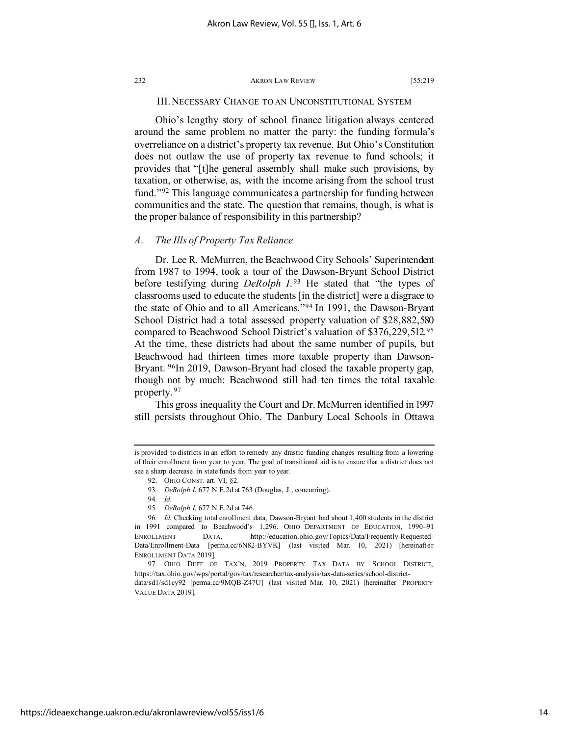# III. NECESSARY CHANGE TO AN UNCONSTITUTIONAL SYSTEM

Ohio's lengthy story of school finance litigation always centered around the same problem no matter the party: the funding formula's overreliance on a district's property tax revenue. But Ohio's Constitution does not outlaw the use of property tax revenue to fund schools; it provides that "[t]he general assembly shall make such provisions, by taxation, or otherwise, as, with the income arising from the school trust fund."[92](#page-14-0) This language communicates a partnership for funding between communities and the state. The question that remains, though, is what is the proper balance of responsibility in this partnership?

# *A. The Ills of Property Tax Reliance*

Dr. Lee R. McMurren, the Beachwood City Schools' Superintendent from 1987 to 1994, took a tour of the Dawson-Bryant School District before testifying during *DeRolph I*.<sup>[93](#page-14-1)</sup> He stated that "the types of classrooms used to educate the students [in the district] were a disgrace to the state of Ohio and to all Americans."[94](#page-14-2) In 1991, the Dawson-Bryant School District had a total assessed property valuation of \$28,882,580 compared to Beachwood School District's valuation of \$376,229,512.[95](#page-14-3) At the time, these districts had about the same number of pupils, but Beachwood had thirteen times more taxable property than Dawson-Bryant. <sup>96</sup>In 2019, Dawson-Bryant had closed the taxable property gap, though not by much: Beachwood still had ten times the total taxable property.<sup>[97](#page-14-5)</sup>

This gross inequality the Court and Dr. McMurren identified in 1997 still persists throughout Ohio. The Danbury Local Schools in Ottawa

<span id="page-14-0"></span>is provided to districts in an effort to remedy any drastic funding changes resulting from a lowering of their enrollment from year to year. The goal of transitional aid is to ensure that a district does not see a sharp decrease in state funds from year to year.

<sup>92.</sup> OHIO CONST. art. VI, §2.

<sup>93</sup>*. DeRolph I*, 677 N.E.2d at 763 (Douglas, J., concurring).

<sup>94</sup>*. Id.*

<sup>95</sup>*. DeRolph I*, 677 N.E.2d at 746.

<span id="page-14-4"></span><span id="page-14-3"></span><span id="page-14-2"></span><span id="page-14-1"></span><sup>96</sup>*. Id.* Checking total enrollment data, Dawson-Bryant had about 1,400 students in the district in 1991 compared to Beachwood's 1,296. OHIO DEPARTMENT OF EDUCATION, 1990–91 ENROLLMENT DATA, http://education.ohio.gov/Topics/Data/Frequently-Requested-Data/Enrollment-Data [perma.cc/6N82-BYVK] (last visited Mar. 10, 2021) [hereinafter ENROLLMENT DATA 2019].

<span id="page-14-5"></span><sup>97.</sup> OHIO DEPT OF TAX'N, 2019 PROPERTY TAX DATA BY SCHOOL DISTRICT, https://tax.ohio.gov/wps/portal/gov/tax/researcher/tax-analysis/tax-data-series/school-district-

data/sd1/sd1cy92 [perma.cc/9MQB-Z47U] (last visited Mar. 10, 2021) [hereinafter PROPERTY VALUE DATA 2019].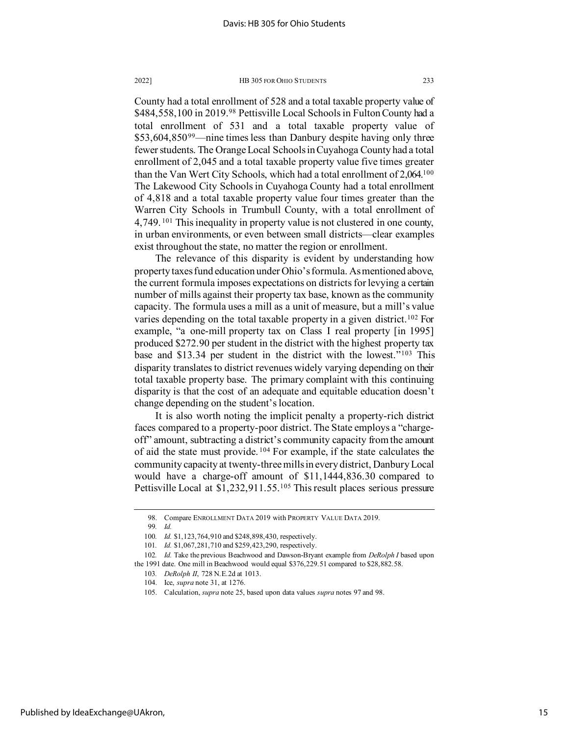County had a total enrollment of 528 and a total taxable property value of \$484,558,100 in 2019.<sup>[98](#page-15-0)</sup> Pettisville Local Schools in Fulton County had a total enrollment of 531 and a total taxable property value of \$53,604,850<sup>[99](#page-15-1)</sup>—nine times less than Danbury despite having only three fewer students. The Orange Local Schools in Cuyahoga County had a total enrollment of 2,045 and a total taxable property value five times greater than the Van Wert City Schools, which had a total enrollment of 2,064[.100](#page-15-2) The Lakewood City Schools in Cuyahoga County had a total enrollment of 4,818 and a total taxable property value four times greater than the Warren City Schools in Trumbull County, with a total enrollment of 4,749. [101](#page-15-3) This inequality in property value is not clustered in one county, in urban environments, or even between small districts—clear examples exist throughout the state, no matter the region or enrollment.

The relevance of this disparity is evident by understanding how property taxes fund education under Ohio's formula. As mentioned above, the current formula imposes expectations on districts for levying a certain number of mills against their property tax base, known as the community capacity. The formula uses a mill as a unit of measure, but a mill's value varies depending on the total taxable property in a given district.<sup>102</sup> For example, "a one-mill property tax on Class I real property [in 1995] produced \$272.90 per student in the district with the highest property tax base and \$13.34 per student in the district with the lowest."[103](#page-15-5) This disparity translates to district revenues widely varying depending on their total taxable property base. The primary complaint with this continuing disparity is that the cost of an adequate and equitable education doesn't change depending on the student's location.

It is also worth noting the implicit penalty a property-rich district faces compared to a property-poor district. The State employs a "chargeoff" amount, subtracting a district's community capacity from the amount of aid the state must provide. [104](#page-15-6) For example, if the state calculates the community capacity at twenty-three mills in every district, Danbury Local would have a charge-off amount of \$11,1444,836.30 compared to Pettisville Local at \$1,232,911.55.[105](#page-15-7) This result places serious pressure

<sup>98.</sup> Compare ENROLLMENT DATA 2019 with PROPERTY VALUE DATA 2019.

<sup>99</sup>*. Id.*

<sup>100</sup>*. Id.* \$1,123,764,910 and \$248,898,430, respectively.

<sup>101</sup>*. Id.* \$1,067,281,710 and \$259,423,290, respectively.

<span id="page-15-7"></span><span id="page-15-6"></span><span id="page-15-5"></span><span id="page-15-4"></span><span id="page-15-3"></span><span id="page-15-2"></span><span id="page-15-1"></span><span id="page-15-0"></span><sup>102</sup>*. Id.* Take the previous Beachwood and Dawson-Bryant example from *DeRolph I* based upon the 1991 date. One mill in Beachwood would equal \$376,229.51 compared to \$28,882.58.

<sup>103</sup>*. DeRolph II*, 728 N.E.2d at 1013.

<sup>104.</sup> Ice, *supra* note 31, at 1276.

<sup>105.</sup> Calculation, *supra* note 25, based upon data values *supra* notes 97 and 98.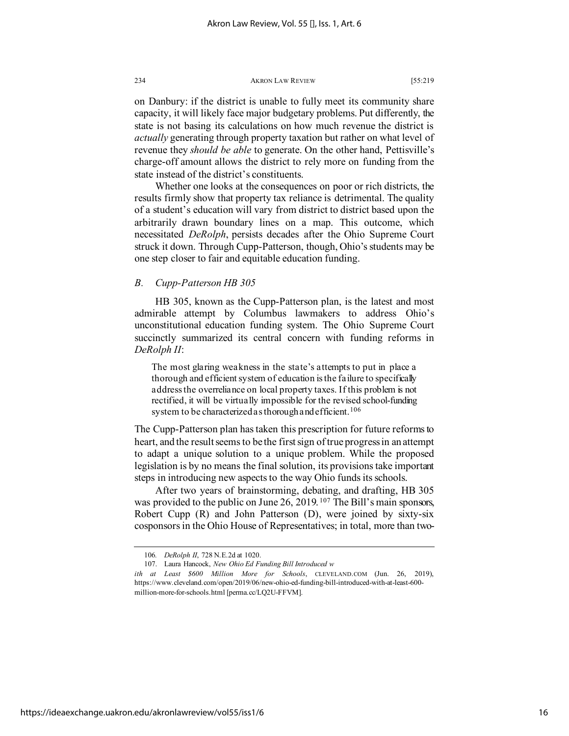on Danbury: if the district is unable to fully meet its community share capacity, it will likely face major budgetary problems. Put differently, the state is not basing its calculations on how much revenue the district is *actually* generating through property taxation but rather on what level of revenue they *should be able* to generate. On the other hand, Pettisville's charge-off amount allows the district to rely more on funding from the state instead of the district's constituents.

Whether one looks at the consequences on poor or rich districts, the results firmly show that property tax reliance is detrimental. The quality of a student's education will vary from district to district based upon the arbitrarily drawn boundary lines on a map. This outcome, which necessitated *DeRolph*, persists decades after the Ohio Supreme Court struck it down. Through Cupp-Patterson, though, Ohio's students may be one step closer to fair and equitable education funding.

# *B. Cupp-Patterson HB 305*

HB 305, known as the Cupp-Patterson plan, is the latest and most admirable attempt by Columbus lawmakers to address Ohio's unconstitutional education funding system. The Ohio Supreme Court succinctly summarized its central concern with funding reforms in *DeRolph II*:

The most glaring weakness in the state's attempts to put in place a thorough and efficient system of education is the failure to specifically address the overreliance on local property taxes. If this problem is not rectified, it will be virtually impossible for the revised school-funding system to be characterized as thorough and efficient.<sup>[106](#page-16-0)</sup>

The Cupp-Patterson plan has taken this prescription for future reforms to heart, and the result seems to be the first sign of true progress in an attempt to adapt a unique solution to a unique problem. While the proposed legislation is by no means the final solution, its provisions take important steps in introducing new aspects to the way Ohio funds its schools.

After two years of brainstorming, debating, and drafting, HB 305 was provided to the public on June 26, 2019.<sup>[107](#page-16-1)</sup> The Bill's main sponsors, Robert Cupp (R) and John Patterson (D), were joined by sixty-six cosponsors in the Ohio House of Representatives; in total, more than two-

<sup>106</sup>*. DeRolph II*, 728 N.E.2d at 1020.

<sup>107.</sup> Laura Hancock, *New Ohio Ed Funding Bill Introduced w*

<span id="page-16-1"></span><span id="page-16-0"></span>*ith at Least \$600 Million More for Schools*, CLEVELAND.COM (Jun. 26, 2019), https://www.cleveland.com/open/2019/06/new-ohio-ed-funding-bill-introduced-with-at-least-600 million-more-for-schools.html [perma.cc/LQ2U-FFVM].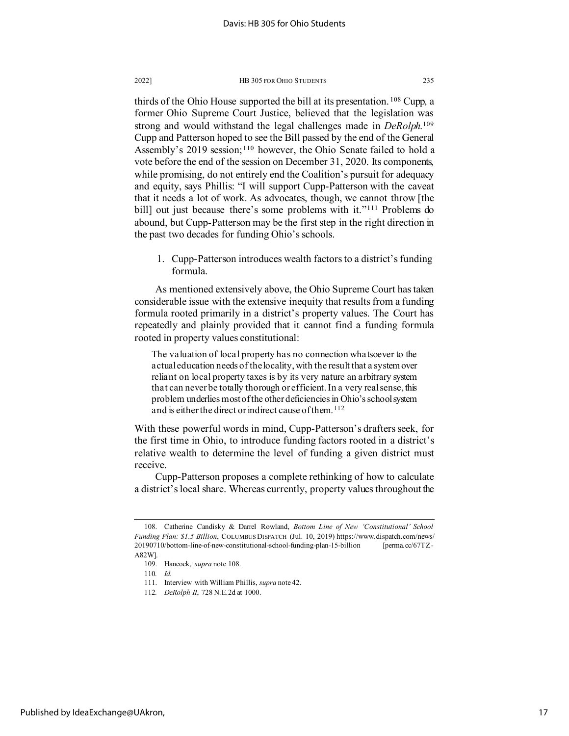thirds of the Ohio House supported the bill at its presentation. [108](#page-17-0) Cupp, a former Ohio Supreme Court Justice, believed that the legislation was strong and would withstand the legal challenges made in *DeRolph*.[109](#page-17-1) Cupp and Patterson hoped to see the Bill passed by the end of the General Assembly's 2019 session;<sup>110</sup> however, the Ohio Senate failed to hold a vote before the end of the session on December 31, 2020. Its components, while promising, do not entirely end the Coalition's pursuit for adequacy and equity, says Phillis: "I will support Cupp-Patterson with the caveat that it needs a lot of work. As advocates, though, we cannot throw [the bill] out just because there's some problems with it."<sup>[111](#page-17-3)</sup> Problems do abound, but Cupp-Patterson may be the first step in the right direction in the past two decades for funding Ohio's schools.

1. Cupp-Patterson introduces wealth factors to a district's funding formula.

As mentioned extensively above, the Ohio Supreme Court has taken considerable issue with the extensive inequity that results from a funding formula rooted primarily in a district's property values. The Court has repeatedly and plainly provided that it cannot find a funding formula rooted in property values constitutional:

The valuation of local property has no connection whatsoever to the actual education needs of the locality, with the result that a system over reliant on local property taxes is by its very nature an arbitrary system that can never be totally thorough or efficient. In a very real sense, this problem underlies most of the other deficiencies in Ohio's school system and is either the direct or indirect cause of them.<sup>[112](#page-17-4)</sup>

With these powerful words in mind, Cupp-Patterson's drafters seek, for the first time in Ohio, to introduce funding factors rooted in a district's relative wealth to determine the level of funding a given district must receive.

Cupp-Patterson proposes a complete rethinking of how to calculate a district's local share. Whereas currently, property values throughout the

<span id="page-17-2"></span><span id="page-17-1"></span><span id="page-17-0"></span><sup>108.</sup> Catherine Candisky & Darrel Rowland, *Bottom Line of New 'Constitutional' School Funding Plan: \$1*.*5 Billion*, COLUMBUS DISPATCH (Jul. 10, 2019) https://www.dispatch.com/news/ 20190710/bottom-line-of-new-constitutional-school-funding-plan-15-billion [perma.cc/67TZ-A82W].

<sup>109.</sup> Hancock, *supra* note 108.

<sup>110</sup>*. Id.*

<span id="page-17-4"></span><span id="page-17-3"></span><sup>111.</sup> Interview with William Phillis, *supra* note 42.

<sup>112</sup>*. DeRolph II*, 728 N.E.2d at 1000.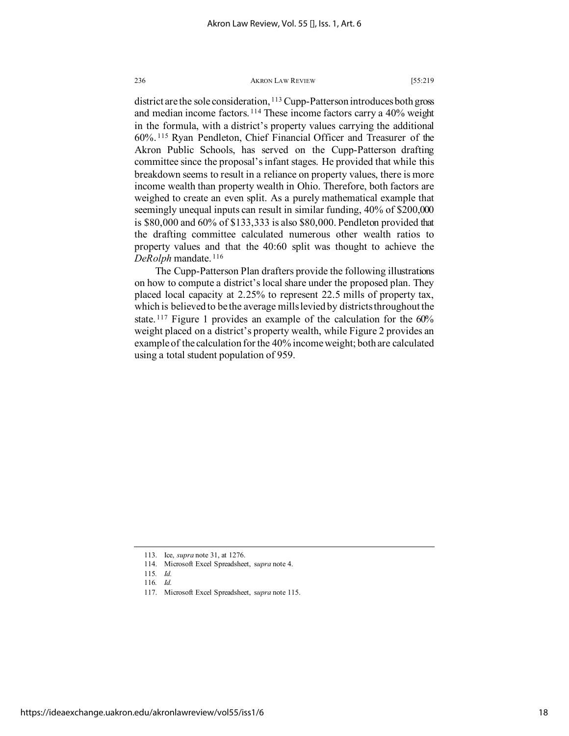district are the sole consideration, <sup>[113](#page-18-0)</sup> Cupp-Patterson introduces both gross and median income factors. [114](#page-18-1) These income factors carry a 40% weight in the formula, with a district's property values carrying the additional 60%. [115](#page-18-2) Ryan Pendleton, Chief Financial Officer and Treasurer of the Akron Public Schools, has served on the Cupp-Patterson drafting committee since the proposal's infant stages. He provided that while this breakdown seems to result in a reliance on property values, there is more income wealth than property wealth in Ohio. Therefore, both factors are weighed to create an even split. As a purely mathematical example that seemingly unequal inputs can result in similar funding, 40% of \$200,000 is \$80,000 and 60% of \$133,333 is also \$80,000. Pendleton provided that the drafting committee calculated numerous other wealth ratios to property values and that the 40:60 split was thought to achieve the *DeRolph* mandate. [116](#page-18-3)

The Cupp-Patterson Plan drafters provide the following illustrations on how to compute a district's local share under the proposed plan. They placed local capacity at 2.25% to represent 22.5 mills of property tax, which is believed to be the average mills levied by districts throughout the state.<sup>[117](#page-18-4)</sup> Figure 1 provides an example of the calculation for the 60% weight placed on a district's property wealth, while Figure 2 provides an example of the calculation for the 40% income weight; both are calculated using a total student population of 959.

<span id="page-18-4"></span><span id="page-18-3"></span><span id="page-18-2"></span>https://ideaexchange.uakron.edu/akronlawreview/vol55/iss1/6

<span id="page-18-1"></span><span id="page-18-0"></span><sup>113.</sup> Ice, *supra* note 31, at 1276.

<sup>114.</sup> Microsoft Excel Spreadsheet, s*upra* note 4.

<sup>115</sup>*. Id.*

<sup>116</sup>*. Id.*

<sup>117.</sup> Microsoft Excel Spreadsheet, s*upra* note 115.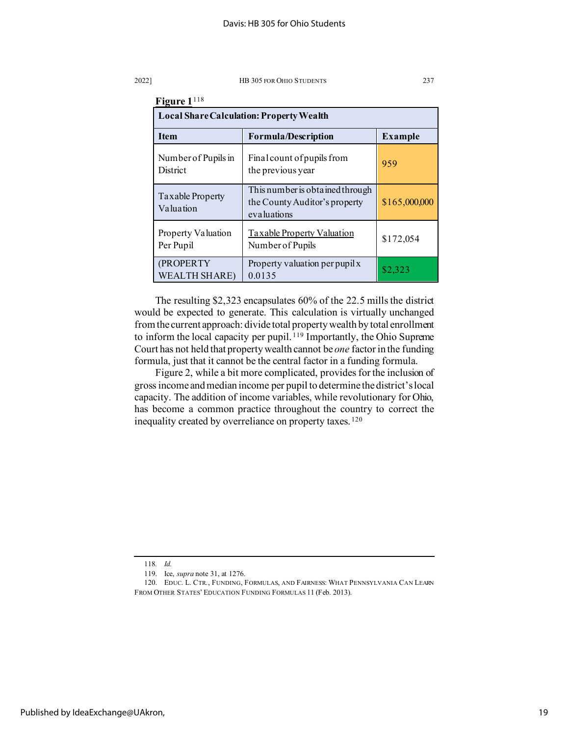| Figure 1 <sup>118</sup><br><b>Local Share Calculation: Property Wealth</b> |                                                                                 |               |  |  |
|----------------------------------------------------------------------------|---------------------------------------------------------------------------------|---------------|--|--|
|                                                                            |                                                                                 |               |  |  |
| Number of Pupils in<br><b>District</b>                                     | Final count of pupils from<br>the previous year                                 | 959           |  |  |
| Taxable Property<br>Valuation                                              | This number is obtained through<br>the County Auditor's property<br>evaluations | \$165,000,000 |  |  |
| Property Valuation<br>Per Pupil                                            | <b>Taxable Property Valuation</b><br>Number of Pupils                           | \$172,054     |  |  |
| (PROPERTY<br><b>WEALTH SHARE)</b>                                          | Property valuation per pupil x<br>0.0135                                        | \$2.323       |  |  |

The resulting \$2,323 encapsulates 60% of the 22.5 mills the district would be expected to generate. This calculation is virtually unchanged from the current approach: divide total property wealth by total enrollment to inform the local capacity per pupil. [119](#page-19-1) Importantly, the Ohio Supreme Court has not held that property wealth cannot be *one* factor in the funding formula, just that it cannot be the central factor in a funding formula.

Figure 2, while a bit more complicated, provides for the inclusion of gross income and median income per pupil to determine the district's local capacity. The addition of income variables, while revolutionary for Ohio, has become a common practice throughout the country to correct the inequality created by overreliance on property taxes. [120](#page-19-2)

<sup>118</sup>*. Id.*

<sup>119.</sup> Ice, *supra* note 31, at 1276.

<span id="page-19-2"></span><span id="page-19-1"></span><span id="page-19-0"></span><sup>120.</sup> EDUC. L. CTR., FUNDING, FORMULAS, AND FAIRNESS: WHAT PENNSYLVANIA CAN LEARN FROM OTHER STATES' EDUCATION FUNDING FORMULAS 11 (Feb. 2013).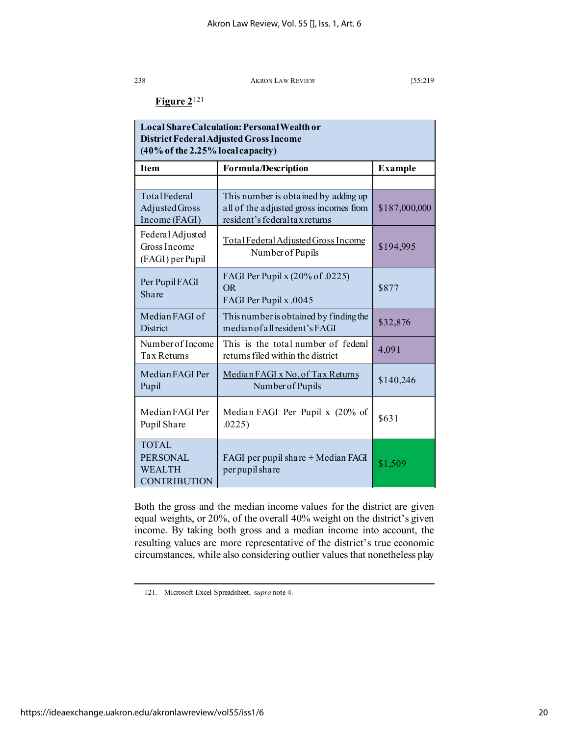# **Figure 2**[121](#page-20-0)

| Local Share Calculation: Personal Wealth or<br>District Federal Adjusted Gross Income<br>$(40\%$ of the 2.25% local capacity) |                                                                                                                  |                |  |
|-------------------------------------------------------------------------------------------------------------------------------|------------------------------------------------------------------------------------------------------------------|----------------|--|
| Item                                                                                                                          | <b>Formula/Description</b>                                                                                       | <b>Example</b> |  |
|                                                                                                                               |                                                                                                                  |                |  |
| TotalFederal<br>Adjusted Gross<br>Income (FAGI)                                                                               | This number is obtained by adding up<br>all of the adjusted gross incomes from<br>resident's federal tax returns | \$187,000,000  |  |
| Federal Adjusted<br>Gross Income<br>(FAGI) per Pupil                                                                          | Total Federal Adjusted Gross Income<br>Number of Pupils                                                          | \$194,995      |  |
| Per Pupil FAGI<br>Share                                                                                                       | FAGI Per Pupil x (20% of .0225)<br><b>OR</b><br>FAGI Per Pupil x .0045                                           | \$877          |  |
| Median FAGI of<br><b>District</b>                                                                                             | This number is obtained by finding the<br>median of all resident's FAGI                                          | \$32,876       |  |
| Number of Income<br>Tax Returns                                                                                               | This is the total number of federal<br>returns filed within the district                                         | 4,091          |  |
| Median FAGI Per<br>Pupil                                                                                                      | Median FAGI x No. of Tax Returns<br>Number of Pupils                                                             | \$140,246      |  |
| Median FAGI Per<br>Pupil Share                                                                                                | Median FAGI Per Pupil x (20% of<br>.0225)                                                                        | \$631          |  |
| <b>TOTAL</b><br><b>PERSONAL</b><br><b>WEALTH</b><br><b>CONTRIBUTION</b>                                                       | FAGI per pupil share + Median FAGI<br>per pupil share                                                            | \$1,509        |  |

Both the gross and the median income values for the district are given equal weights, or 20%, of the overall 40% weight on the district's given income. By taking both gross and a median income into account, the resulting values are more representative of the district's true economic circumstances, while also considering outlier values that nonetheless play

<span id="page-20-0"></span><sup>121.</sup> Microsoft Excel Spreadsheet, s*upra* note 4.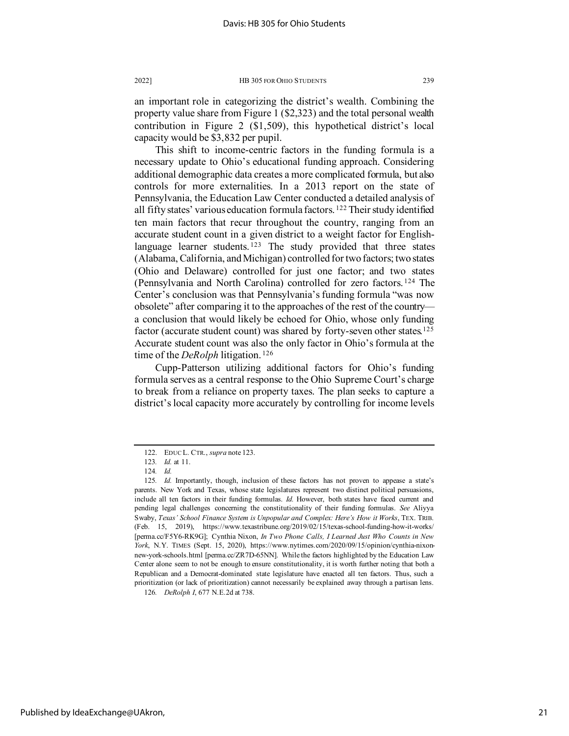an important role in categorizing the district's wealth. Combining the property value share from Figure 1 (\$2,323) and the total personal wealth contribution in Figure 2 (\$1,509), this hypothetical district's local capacity would be \$3,832 per pupil.

This shift to income-centric factors in the funding formula is a necessary update to Ohio's educational funding approach. Considering additional demographic data creates a more complicated formula, but also controls for more externalities. In a 2013 report on the state of Pennsylvania, the Education Law Center conducted a detailed analysis of all fifty states' various education formula factors. [122](#page-21-0) Their study identified ten main factors that recur throughout the country, ranging from an accurate student count in a given district to a weight factor for English-language learner students.<sup>[123](#page-21-1)</sup> The study provided that three states (Alabama, California, and Michigan) controlled for two factors; two states (Ohio and Delaware) controlled for just one factor; and two states (Pennsylvania and North Carolina) controlled for zero factors. [124](#page-21-2) The Center's conclusion was that Pennsylvania's funding formula "was now obsolete" after comparing it to the approaches of the rest of the country a conclusion that would likely be echoed for Ohio, whose only funding factor (accurate student count) was shared by forty-seven other states.<sup>[125](#page-21-3)</sup> Accurate student count was also the only factor in Ohio's formula at the time of the *DeRolph* litigation. [126](#page-21-4)

Cupp-Patterson utilizing additional factors for Ohio's funding formula serves as a central response to the Ohio Supreme Court's charge to break from a reliance on property taxes. The plan seeks to capture a district's local capacity more accurately by controlling for income levels

<sup>122.</sup> EDUC L. CTR., *supra* note 123.

<sup>123</sup>*. Id.* at 11.

<sup>124</sup>*. Id.*

<span id="page-21-3"></span><span id="page-21-2"></span><span id="page-21-1"></span><span id="page-21-0"></span><sup>125</sup>*. Id.* Importantly, though, inclusion of these factors has not proven to appease a state's parents. New York and Texas, whose state legislatures represent two distinct political persuasions, include all ten factors in their funding formulas. *Id.* However, both states have faced current and pending legal challenges concerning the constitutionality of their funding formulas. *See* Aliyya Swaby, *Texas' School Finance System is Unpopular and Complex: Here's How it Works*, TEX. TRIB. (Feb. 15, 2019), https://www.texastribune.org/2019/02/15/texas-school-funding-how-it-works/ [perma.cc/F5Y6-RK9G]; Cynthia Nixon, *In Two Phone Calls, I Learned Just Who Counts in New York*, N.Y. TIMES (Sept. 15, 2020), https://www.nytimes.com/2020/09/15/opinion/cynthia-nixonnew-york-schools.html [perma.cc/ZR7D-65NN]. While the factors highlighted by the Education Law Center alone seem to not be enough to ensure constitutionality, it is worth further noting that both a Republican and a Democrat-dominated state legislature have enacted all ten factors. Thus, such a prioritization (or lack of prioritization) cannot necessarily be explained away through a partisan lens.

<span id="page-21-4"></span><sup>126</sup>*. DeRolph I*, 677 N.E.2d at 738.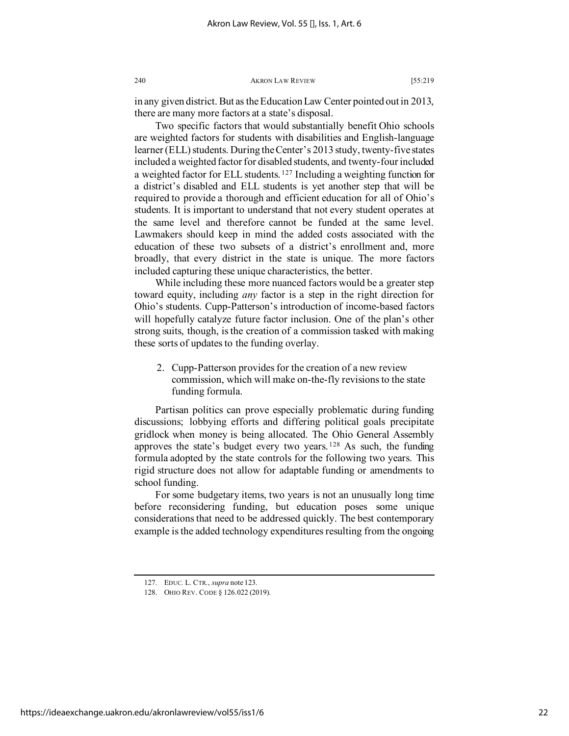in any given district. But as the Education Law Center pointed out in 2013, there are many more factors at a state's disposal.

Two specific factors that would substantially benefit Ohio schools are weighted factors for students with disabilities and English-language learner (ELL) students. During the Center's 2013 study, twenty-five states included a weighted factor for disabled students, and twenty-four included a weighted factor for ELL students. [127](#page-22-0) Including a weighting function for a district's disabled and ELL students is yet another step that will be required to provide a thorough and efficient education for all of Ohio's students. It is important to understand that not every student operates at the same level and therefore cannot be funded at the same level. Lawmakers should keep in mind the added costs associated with the education of these two subsets of a district's enrollment and, more broadly, that every district in the state is unique. The more factors included capturing these unique characteristics, the better.

While including these more nuanced factors would be a greater step toward equity, including *any* factor is a step in the right direction for Ohio's students. Cupp-Patterson's introduction of income-based factors will hopefully catalyze future factor inclusion. One of the plan's other strong suits, though, is the creation of a commission tasked with making these sorts of updates to the funding overlay.

2. Cupp-Patterson provides for the creation of a new review commission, which will make on-the-fly revisions to the state funding formula.

Partisan politics can prove especially problematic during funding discussions; lobbying efforts and differing political goals precipitate gridlock when money is being allocated. The Ohio General Assembly approves the state's budget every two years.  $128$  As such, the funding formula adopted by the state controls for the following two years. This rigid structure does not allow for adaptable funding or amendments to school funding.

For some budgetary items, two years is not an unusually long time before reconsidering funding, but education poses some unique considerations that need to be addressed quickly. The best contemporary example is the added technology expenditures resulting from the ongoing

<span id="page-22-0"></span><sup>127.</sup> EDUC. L. CTR., *supra* note 123.

<span id="page-22-1"></span><sup>128.</sup> OHIO REV. CODE § 126.022 (2019).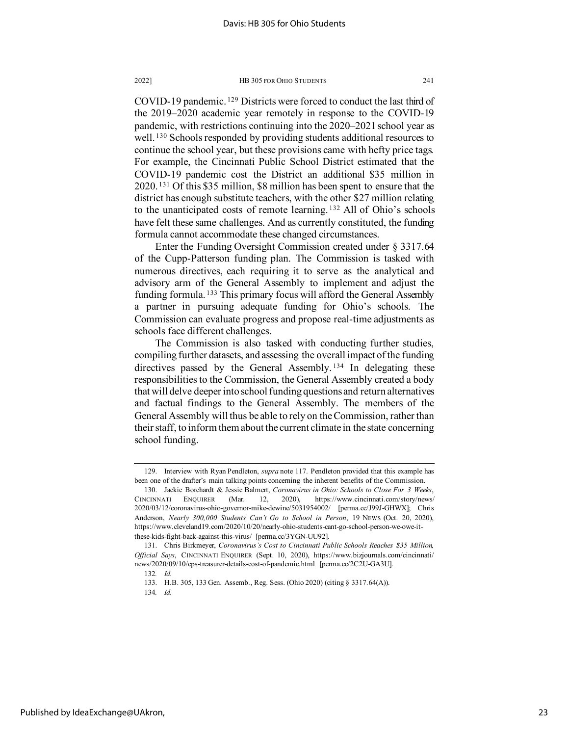COVID-19 pandemic. [129](#page-23-0) Districts were forced to conduct the last third of the 2019–2020 academic year remotely in response to the COVID-19 pandemic, with restrictions continuing into the 2020–2021 school year as well. [130](#page-23-1) Schools responded by providing students additional resources to continue the school year, but these provisions came with hefty price tags. For example, the Cincinnati Public School District estimated that the COVID-19 pandemic cost the District an additional \$35 million in 2020. [131](#page-23-2) Of this \$35 million, \$8 million has been spent to ensure that the district has enough substitute teachers, with the other \$27 million relating to the unanticipated costs of remote learning. [132](#page-23-3) All of Ohio's schools have felt these same challenges. And as currently constituted, the funding formula cannot accommodate these changed circumstances.

Enter the Funding Oversight Commission created under § 3317.64 of the Cupp-Patterson funding plan. The Commission is tasked with numerous directives, each requiring it to serve as the analytical and advisory arm of the General Assembly to implement and adjust the funding formula. [133](#page-23-4) This primary focus will afford the General Assembly a partner in pursuing adequate funding for Ohio's schools. The Commission can evaluate progress and propose real-time adjustments as schools face different challenges.

The Commission is also tasked with conducting further studies, compiling further datasets, and assessing the overall impact of the funding directives passed by the General Assembly.<sup>[134](#page-23-5)</sup> In delegating these responsibilities to the Commission, the General Assembly created a body that will delve deeper into school funding questions and return alternatives and factual findings to the General Assembly. The members of the General Assembly will thus be able to rely on the Commission, rather than their staff, to inform them about the current climate in the state concerning school funding.

<span id="page-23-0"></span><sup>129.</sup> Interview with Ryan Pendleton, *supra* note 117. Pendleton provided that this example has been one of the drafter's main talking points concerning the inherent benefits of the Commission.

<span id="page-23-1"></span><sup>130.</sup> Jackie Borchardt & Jessie Balmert, *Coronavirus in Ohio: Schools to Close For 3 Weeks*, CINCINNATI ENQUIRER (Mar. 12, 2020), https://www.cincinnati.com/story/news/ 2020/03/12/coronavirus-ohio-governor-mike-dewine/5031954002/ [perma.cc/J99J-GHWX]; Chris Anderson, *Nearly 300,000 Students Can't Go to School in Person*, 19 NEWS (Oct. 20, 2020), https://www.cleveland19.com/2020/10/20/nearly-ohio-students-cant-go-school-person-we-owe-itthese-kids-fight-back-against-this-virus/ [perma.cc/3YGN-UU92].

<span id="page-23-4"></span><span id="page-23-3"></span><span id="page-23-2"></span><sup>131.</sup> Chris Birkmeyer, *Coronavirus's Cost to Cincinnati Public Schools Reaches \$35 Million, Official Says*, CINCINNATI ENQUIRER (Sept. 10, 2020), https://www.bizjournals.com/cincinnati/ news/2020/09/10/cps-treasurer-details-cost-of-pandemic.html [perma.cc/2C2U-GA3U].

<sup>132</sup>*. Id.*

<span id="page-23-5"></span><sup>133.</sup> H.B. 305, 133 Gen. Assemb., Reg. Sess. (Ohio 2020) (citing § 3317.64(A)).

<sup>134</sup>*. Id.*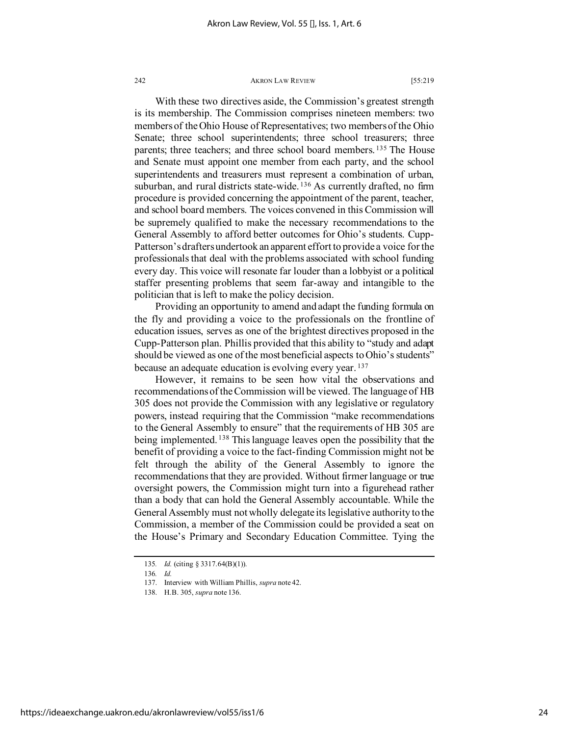With these two directives aside, the Commission's greatest strength is its membership. The Commission comprises nineteen members: two members of the Ohio House of Representatives; two members of the Ohio Senate; three school superintendents; three school treasurers; three parents; three teachers; and three school board members. [135](#page-24-0) The House and Senate must appoint one member from each party, and the school superintendents and treasurers must represent a combination of urban, suburban, and rural districts state-wide. <sup>[136](#page-24-1)</sup> As currently drafted, no firm procedure is provided concerning the appointment of the parent, teacher, and school board members. The voices convened in this Commission will be supremely qualified to make the necessary recommendations to the General Assembly to afford better outcomes for Ohio's students. Cupp-Patterson's drafters undertook an apparent effort to provide a voice for the professionals that deal with the problems associated with school funding every day. This voice will resonate far louder than a lobbyist or a political staffer presenting problems that seem far-away and intangible to the politician that is left to make the policy decision.

Providing an opportunity to amend and adapt the funding formula on the fly and providing a voice to the professionals on the frontline of education issues, serves as one of the brightest directives proposed in the Cupp-Patterson plan. Phillis provided that this ability to "study and adapt should be viewed as one of the most beneficial aspects to Ohio's students" because an adequate education is evolving every year. [137](#page-24-2)

However, it remains to be seen how vital the observations and recommendations of the Commission will be viewed. The language of HB 305 does not provide the Commission with any legislative or regulatory powers, instead requiring that the Commission "make recommendations to the General Assembly to ensure" that the requirements of HB 305 are being implemented.<sup>[138](#page-24-3)</sup> This language leaves open the possibility that the benefit of providing a voice to the fact-finding Commission might not be felt through the ability of the General Assembly to ignore the recommendations that they are provided. Without firmer language or true oversight powers, the Commission might turn into a figurehead rather than a body that can hold the General Assembly accountable. While the General Assembly must not wholly delegate its legislative authority to the Commission, a member of the Commission could be provided a seat on the House's Primary and Secondary Education Committee. Tying the

<span id="page-24-1"></span><span id="page-24-0"></span><sup>135</sup>*. Id.* (citing § 3317.64(B)(1)).

<sup>136</sup>*. Id.*

<span id="page-24-3"></span><span id="page-24-2"></span><sup>137.</sup> Interview with William Phillis, *supra* note 42.

<sup>138.</sup> H.B. 305, *supra* note 136.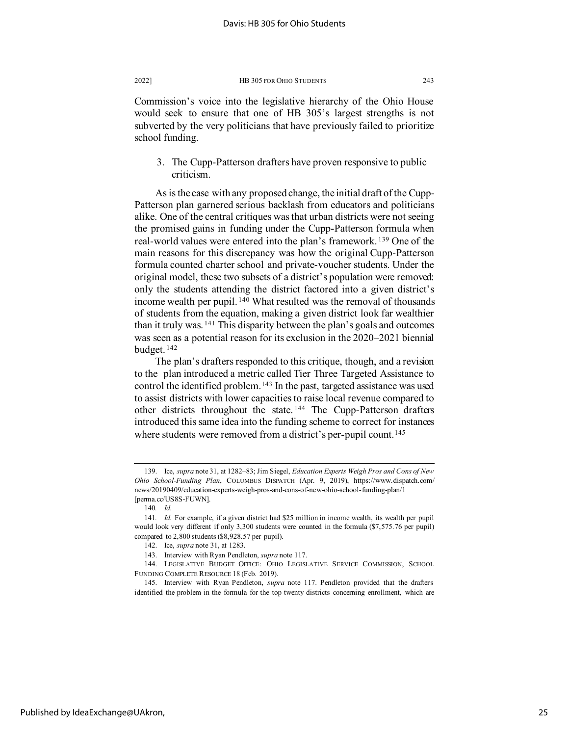Commission's voice into the legislative hierarchy of the Ohio House would seek to ensure that one of HB 305's largest strengths is not subverted by the very politicians that have previously failed to prioritize school funding.

3. The Cupp-Patterson drafters have proven responsive to public criticism.

As is the case with any proposed change, the initial draft of the Cupp-Patterson plan garnered serious backlash from educators and politicians alike. One of the central critiques was that urban districts were not seeing the promised gains in funding under the Cupp-Patterson formula when real-world values were entered into the plan's framework. [139](#page-25-0) One of the main reasons for this discrepancy was how the original Cupp-Patterson formula counted charter school and private-voucher students. Under the original model, these two subsets of a district's population were removed: only the students attending the district factored into a given district's income wealth per pupil. [140](#page-25-1) What resulted was the removal of thousands of students from the equation, making a given district look far wealthier than it truly was.  $141$  This disparity between the plan's goals and outcomes was seen as a potential reason for its exclusion in the 2020–2021 biennial budget. [142](#page-25-3)

The plan's drafters responded to this critique, though, and a revision to the plan introduced a metric called Tier Three Targeted Assistance to control the identified problem.<sup>[143](#page-25-4)</sup> In the past, targeted assistance was used to assist districts with lower capacities to raise local revenue compared to other districts throughout the state. [144](#page-25-5) The Cupp-Patterson drafters introduced this same idea into the funding scheme to correct for instances where students were removed from a district's per-pupil count.<sup>[145](#page-25-6)</sup>

<span id="page-25-0"></span><sup>139.</sup> Ice, *supra* note 31, at 1282–83; Jim Siegel, *Education Experts Weigh Pros and Cons of New Ohio School-Funding Plan*, COLUMBUS DISPATCH (Apr. 9, 2019), https://www.dispatch.com/ news/20190409/education-experts-weigh-pros-and-cons-of-new-ohio-school-funding-plan/1 [perma.cc/US8S-FUWN].

<sup>140</sup>*. Id.*

<span id="page-25-3"></span><span id="page-25-2"></span><span id="page-25-1"></span><sup>141</sup>*. Id.* For example, if a given district had \$25 million in income wealth, its wealth per pupil would look very different if only 3,300 students were counted in the formula (\$7,575.76 per pupil) compared to 2,800 students (\$8,928.57 per pupil).

<sup>142.</sup> Ice, *supra* note 31, at 1283.

<sup>143.</sup> Interview with Ryan Pendleton, *supra* note 117.

<span id="page-25-5"></span><span id="page-25-4"></span><sup>144.</sup> LEGISLATIVE BUDGET OFFICE: OHIO LEGISLATIVE SERVICE COMMISSION, SCHOOL FUNDING COMPLETE RESOURCE 18 (Feb. 2019).

<span id="page-25-6"></span><sup>145.</sup> Interview with Ryan Pendleton, *supra* note 117. Pendleton provided that the drafters identified the problem in the formula for the top twenty districts concerning enrollment, which are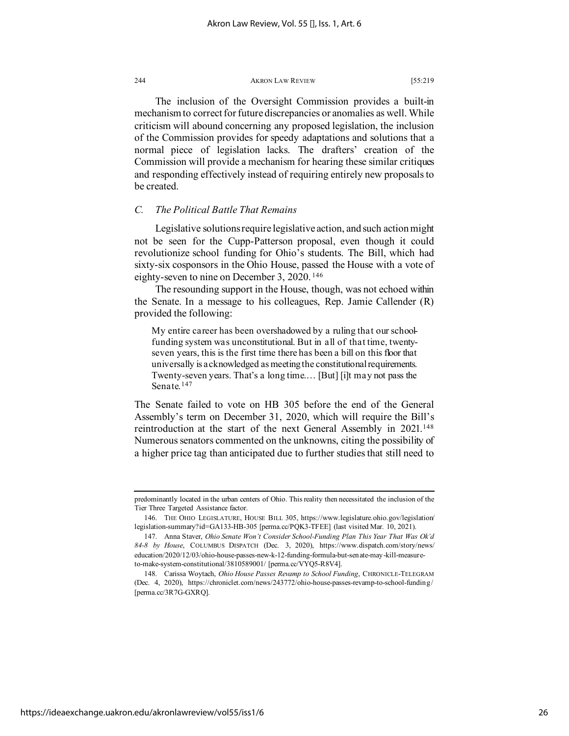The inclusion of the Oversight Commission provides a built-in mechanism to correct for future discrepancies or anomalies as well. While criticism will abound concerning any proposed legislation, the inclusion of the Commission provides for speedy adaptations and solutions that a normal piece of legislation lacks. The drafters' creation of the Commission will provide a mechanism for hearing these similar critiques and responding effectively instead of requiring entirely new proposals to be created.

# *C. The Political Battle That Remains*

Legislative solutions require legislative action, and such action might not be seen for the Cupp-Patterson proposal, even though it could revolutionize school funding for Ohio's students. The Bill, which had sixty-six cosponsors in the Ohio House, passed the House with a vote of eighty-seven to nine on December 3, 2020. [146](#page-26-0)

The resounding support in the House, though, was not echoed within the Senate. In a message to his colleagues, Rep. Jamie Callender (R) provided the following:

My entire career has been overshadowed by a ruling that our schoolfunding system was unconstitutional. But in all of that time, twentyseven years, this is the first time there has been a bill on this floor that universally is acknowledged as meeting the constitutional requirements. Twenty-seven years. That's a long time.… [But] [i]t may not pass the Senate.<sup>[147](#page-26-1)</sup>

The Senate failed to vote on HB 305 before the end of the General Assembly's term on December 31, 2020, which will require the Bill's reintroduction at the start of the next General Assembly in 2021.<sup>[148](#page-26-2)</sup> Numerous senators commented on the unknowns, citing the possibility of a higher price tag than anticipated due to further studies that still need to

predominantly located in the urban centers of Ohio. This reality then necessitated the inclusion of the Tier Three Targeted Assistance factor.

<span id="page-26-0"></span><sup>146.</sup> THE OHIO LEGISLATURE, HOUSE BILL 305, https://www.legislature.ohio.gov/legislation/ legislation-summary?id=GA133-HB-305 [perma.cc/PQK3-TFEE] (last visited Mar. 10, 2021).

<span id="page-26-1"></span><sup>147.</sup> Anna Staver, *Ohio Senate Won't Consider School-Funding Plan This Year That Was Ok'd 84-8 by House*, COLUMBUS DISPATCH (Dec. 3, 2020), https://www.dispatch.com/story/news/ education/2020/12/03/ohio-house-passes-new-k-12-funding-formula-but-senate-may-kill-measureto-make-system-constitutional/3810589001/ [perma.cc/VYQ5-R8V4].

<span id="page-26-2"></span><sup>148.</sup> Carissa Woytach, *Ohio House Passes Revamp to School Funding*, CHRONICLE-TELEGRAM (Dec. 4, 2020), https://chroniclet.com/news/243772/ohio-house-passes-revamp-to-school-funding/ [perma.cc/3R7G-GXRQ].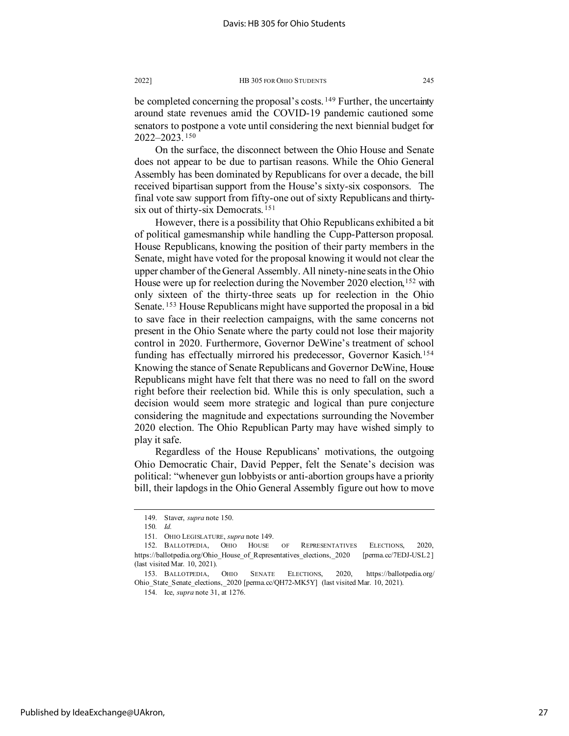be completed concerning the proposal's costs.<sup>[149](#page-27-0)</sup> Further, the uncertainty around state revenues amid the COVID-19 pandemic cautioned some senators to postpone a vote until considering the next biennial budget for 2022–2023. [150](#page-27-1)

On the surface, the disconnect between the Ohio House and Senate does not appear to be due to partisan reasons. While the Ohio General Assembly has been dominated by Republicans for over a decade, the bill received bipartisan support from the House's sixty-six cosponsors. The final vote saw support from fifty-one out of sixty Republicans and thirty-six out of thirty-six Democrats.<sup>[151](#page-27-2)</sup>

However, there is a possibility that Ohio Republicans exhibited a bit of political gamesmanship while handling the Cupp-Patterson proposal. House Republicans, knowing the position of their party members in the Senate, might have voted for the proposal knowing it would not clear the upper chamber of the General Assembly. All ninety-nine seats in the Ohio House were up for reelection during the November 2020 election,<sup>[152](#page-27-3)</sup> with only sixteen of the thirty-three seats up for reelection in the Ohio Senate. [153](#page-27-4) House Republicans might have supported the proposal in a bid to save face in their reelection campaigns, with the same concerns not present in the Ohio Senate where the party could not lose their majority control in 2020. Furthermore, Governor DeWine's treatment of school funding has effectually mirrored his predecessor, Governor Kasich.[154](#page-27-5) Knowing the stance of Senate Republicans and Governor DeWine, House Republicans might have felt that there was no need to fall on the sword right before their reelection bid. While this is only speculation, such a decision would seem more strategic and logical than pure conjecture considering the magnitude and expectations surrounding the November 2020 election. The Ohio Republican Party may have wished simply to play it safe.

Regardless of the House Republicans' motivations, the outgoing Ohio Democratic Chair, David Pepper, felt the Senate's decision was political: "whenever gun lobbyists or anti-abortion groups have a priority bill, their lapdogs in the Ohio General Assembly figure out how to move

<sup>149.</sup> Staver, *supra* note 150.

<sup>150</sup>*. Id.*

<sup>151.</sup> OHIO LEGISLATURE, *supra* note 149.

<span id="page-27-3"></span><span id="page-27-2"></span><span id="page-27-1"></span><span id="page-27-0"></span> <sup>152.</sup> BALLOTPEDIA, OHIO HOUSE OF REPRESENTATIVES ELECTIONS, 2020, https://ballotpedia.org/Ohio\_House\_of\_Representatives\_elections,\_2020 [perma.cc/7EDJ-USL2] (last visited Mar. 10, 2021).

<span id="page-27-5"></span><span id="page-27-4"></span><sup>153.</sup> BALLOTPEDIA, OHIO SENATE ELECTIONS, 2020, https://ballotpedia.org/ Ohio\_State\_Senate\_elections,\_2020 [perma.cc/QH72-MK5Y] (last visited Mar. 10, 2021).

<sup>154.</sup> Ice, *supra* note 31, at 1276.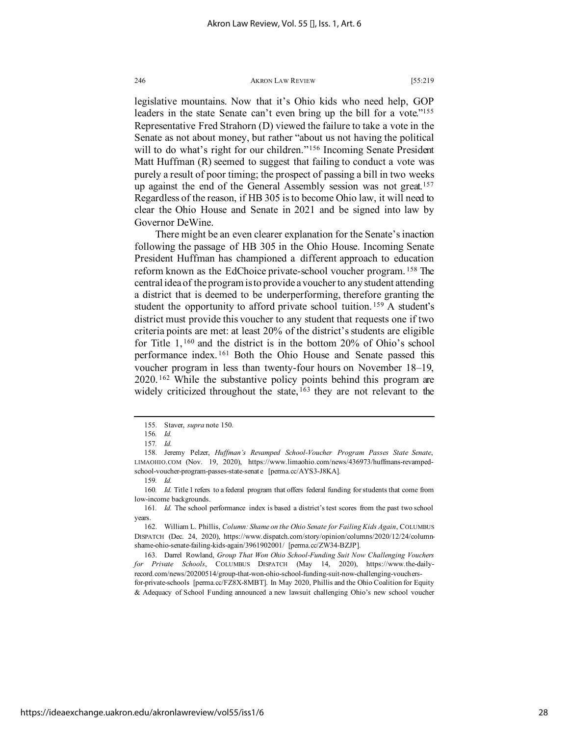legislative mountains. Now that it's Ohio kids who need help, GOP leaders in the state Senate can't even bring up the bill for a vote."<sup>155</sup> Representative Fred Strahorn (D) viewed the failure to take a vote in the Senate as not about money, but rather "about us not having the political will to do what's right for our children."<sup>[156](#page-28-1)</sup> Incoming Senate President Matt Huffman (R) seemed to suggest that failing to conduct a vote was purely a result of poor timing; the prospect of passing a bill in two weeks up against the end of the General Assembly session was not great.<sup>[157](#page-28-2)</sup> Regardless of the reason, if HB 305 is to become Ohio law, it will need to clear the Ohio House and Senate in 2021 and be signed into law by Governor DeWine.

There might be an even clearer explanation for the Senate's inaction following the passage of HB 305 in the Ohio House. Incoming Senate President Huffman has championed a different approach to education reform known as the EdChoice private-school voucher program. [158](#page-28-3) The central idea of the program is to provide a voucher to any student attending a district that is deemed to be underperforming, therefore granting the student the opportunity to afford private school tuition.<sup>[159](#page-28-4)</sup> A student's district must provide this voucher to any student that requests one if two criteria points are met: at least 20% of the district's students are eligible for Title 1, [160](#page-28-5) and the district is in the bottom 20% of Ohio's school performance index. [161](#page-28-6) Both the Ohio House and Senate passed this voucher program in less than twenty-four hours on November 18–19, 2020. [162](#page-28-7) While the substantive policy points behind this program are widely criticized throughout the state, <sup>[163](#page-28-8)</sup> they are not relevant to the

for-private-schools [perma.cc/FZ8X-8MBT]. In May 2020, Phillis and the Ohio Coalition for Equity & Adequacy of School Funding announced a new lawsuit challenging Ohio's new school voucher

<sup>155.</sup> Staver, *supra* note 150.

<sup>156</sup>*. Id.*

<sup>157</sup>*. Id.*

<span id="page-28-3"></span><span id="page-28-2"></span><span id="page-28-1"></span><span id="page-28-0"></span><sup>158.</sup> Jeremy Pelzer, *Huffman's Revamped School-Voucher Program Passes State Senate*, LIMAOHIO.COM (Nov. 19, 2020), https://www.limaohio.com/news/436973/huffmans-revampedschool-voucher-program-passes-state-senate [perma.cc/AYS3-J8KA].

<sup>159</sup>*. Id.*

<span id="page-28-5"></span><span id="page-28-4"></span><sup>160</sup>*. Id.* Title 1 refers to a federal program that offers federal funding for students that come from low-income backgrounds.

<span id="page-28-6"></span><sup>161</sup>*. Id.* The school performance index is based a district's test scores from the past two school years.

<span id="page-28-7"></span><sup>162.</sup> William L. Phillis, *Column: Shame on the Ohio Senate for Failing Kids Again*, COLUMBUS DISPATCH (Dec. 24, 2020), https://www.dispatch.com/story/opinion/columns/2020/12/24/columnshame-ohio-senate-failing-kids-again/3961902001/ [perma.cc/ZW34-BZJP].

<span id="page-28-8"></span><sup>163.</sup> Darrel Rowland, *Group That Won Ohio School-Funding Suit Now Challenging Vouchers for Private Schools*, COLUMBUS DISPATCH (May 14, 2020), https://www.the-dailyrecord.com/news/20200514/group-that-won-ohio-school-funding-suit-now-challenging-vouchers-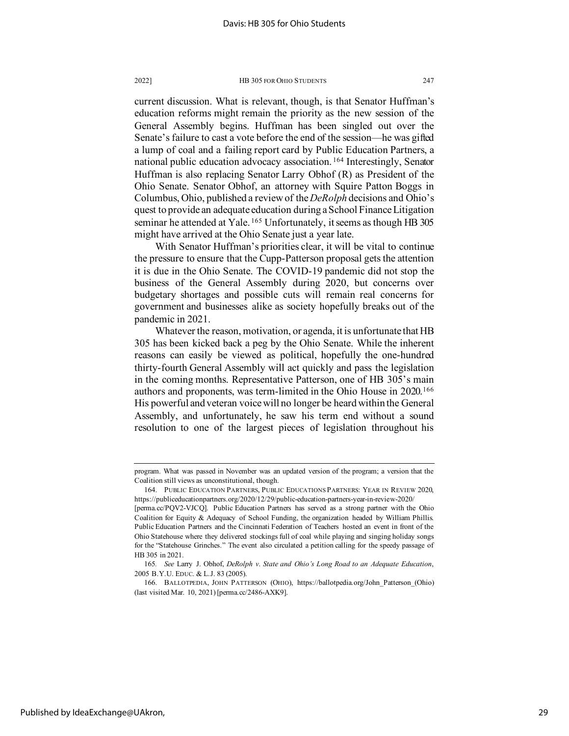current discussion. What is relevant, though, is that Senator Huffman's education reforms might remain the priority as the new session of the General Assembly begins. Huffman has been singled out over the Senate's failure to cast a vote before the end of the session—he was gifted a lump of coal and a failing report card by Public Education Partners, a national public education advocacy association. [164](#page-29-0) Interestingly, Senator Huffman is also replacing Senator Larry Obhof (R) as President of the Ohio Senate. Senator Obhof, an attorney with Squire Patton Boggs in Columbus, Ohio, published a review of the *DeRolph* decisions and Ohio's quest to provide an adequate education during a School Finance Litigation seminar he attended at Yale.<sup>[165](#page-29-1)</sup> Unfortunately, it seems as though HB 305 might have arrived at the Ohio Senate just a year late.

With Senator Huffman's priorities clear, it will be vital to continue the pressure to ensure that the Cupp-Patterson proposal gets the attention it is due in the Ohio Senate. The COVID-19 pandemic did not stop the business of the General Assembly during 2020, but concerns over budgetary shortages and possible cuts will remain real concerns for government and businesses alike as society hopefully breaks out of the pandemic in 2021.

Whatever the reason, motivation, or agenda, it is unfortunate that HB 305 has been kicked back a peg by the Ohio Senate. While the inherent reasons can easily be viewed as political, hopefully the one-hundred thirty-fourth General Assembly will act quickly and pass the legislation in the coming months. Representative Patterson, one of HB 305's main authors and proponents, was term-limited in the Ohio House in 2020.[166](#page-29-2) His powerful and veteran voice will no longer be heard within the General Assembly, and unfortunately, he saw his term end without a sound resolution to one of the largest pieces of legislation throughout his

program. What was passed in November was an updated version of the program; a version that the Coalition still views as unconstitutional, though.

<span id="page-29-0"></span><sup>164.</sup> PUBLIC EDUCATION PARTNERS, PUBLIC EDUCATIONS PARTNERS: YEAR IN REVIEW 2020, https://publiceducationpartners.org/2020/12/29/public-education-partners-year-in-review-2020/

<sup>[</sup>perma.cc/PQV2-VJCQ]. Public Education Partners has served as a strong partner with the Ohio Coalition for Equity & Adequacy of School Funding, the organization headed by William Phillis. Public Education Partners and the Cincinnati Federation of Teachers hosted an event in front of the Ohio Statehouse where they delivered stockings full of coal while playing and singing holiday songs for the "Statehouse Grinches." The event also circulated a petition calling for the speedy passage of HB 305 in 2021.

<sup>165</sup>*. See* Larry J. Obhof, *DeRolph v*. *State and Ohio's Long Road to an Adequate Education*, 2005 B.Y.U. EDUC. & L.J. 83 (2005).

<span id="page-29-2"></span><span id="page-29-1"></span><sup>166.</sup> BALLOTPEDIA, JOHN PATTERSON (OHIO), https://ballotpedia.org/John\_Patterson\_(Ohio) (last visited Mar. 10, 2021) [perma.cc/2486-AXK9].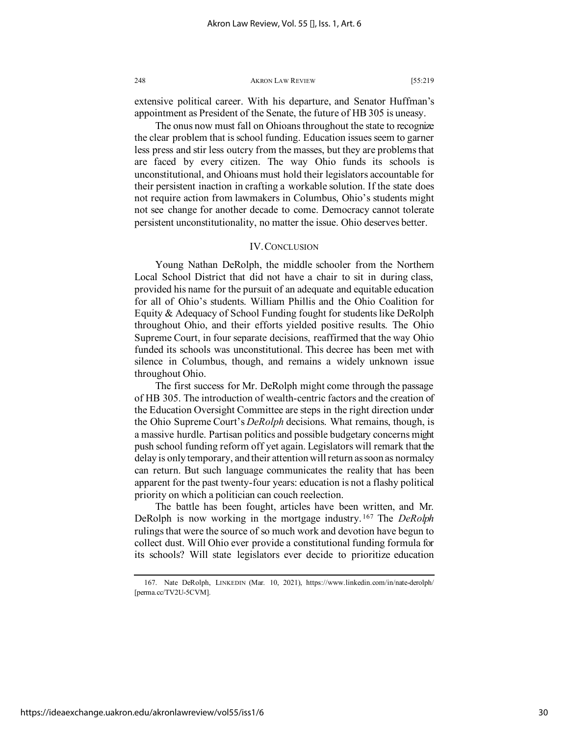extensive political career. With his departure, and Senator Huffman's appointment as President of the Senate, the future of HB 305 is uneasy.

The onus now must fall on Ohioans throughout the state to recognize the clear problem that is school funding. Education issues seem to garner less press and stir less outcry from the masses, but they are problems that are faced by every citizen. The way Ohio funds its schools is unconstitutional, and Ohioans must hold their legislators accountable for their persistent inaction in crafting a workable solution. If the state does not require action from lawmakers in Columbus, Ohio's students might not see change for another decade to come. Democracy cannot tolerate persistent unconstitutionality, no matter the issue. Ohio deserves better.

## IV. CONCLUSION

Young Nathan DeRolph, the middle schooler from the Northern Local School District that did not have a chair to sit in during class, provided his name for the pursuit of an adequate and equitable education for all of Ohio's students. William Phillis and the Ohio Coalition for Equity & Adequacy of School Funding fought for students like DeRolph throughout Ohio, and their efforts yielded positive results. The Ohio Supreme Court, in four separate decisions, reaffirmed that the way Ohio funded its schools was unconstitutional. This decree has been met with silence in Columbus, though, and remains a widely unknown issue throughout Ohio.

The first success for Mr. DeRolph might come through the passage of HB 305. The introduction of wealth-centric factors and the creation of the Education Oversight Committee are steps in the right direction under the Ohio Supreme Court's *DeRolph* decisions. What remains, though, is a massive hurdle. Partisan politics and possible budgetary concerns might push school funding reform off yet again. Legislators will remark that the delay is only temporary, and their attention will return as soon as normalcy can return. But such language communicates the reality that has been apparent for the past twenty-four years: education is not a flashy political priority on which a politician can couch reelection.

The battle has been fought, articles have been written, and Mr. DeRolph is now working in the mortgage industry. [167](#page-30-0) The *DeRolph* rulings that were the source of so much work and devotion have begun to collect dust. Will Ohio ever provide a constitutional funding formula for its schools? Will state legislators ever decide to prioritize education

<span id="page-30-0"></span><sup>167.</sup> Nate DeRolph, LINKEDIN (Mar. 10, 2021), https://www.linkedin.com/in/nate-derolph/ [perma.cc/TV2U-5CVM].